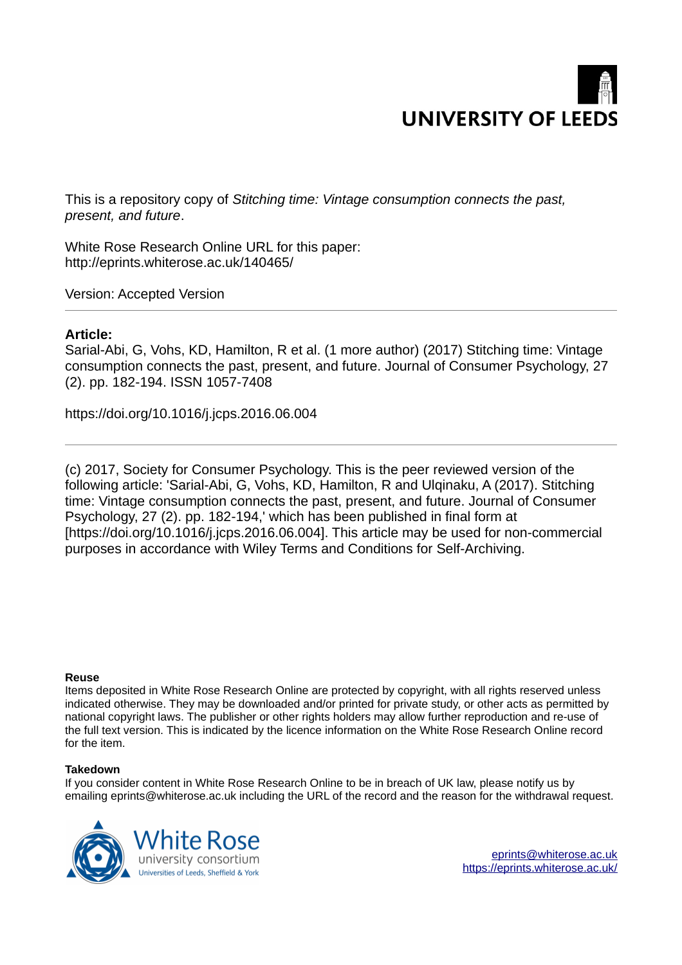

This is a repository copy of *Stitching time: Vintage consumption connects the past, present, and future*.

White Rose Research Online URL for this paper: http://eprints.whiterose.ac.uk/140465/

Version: Accepted Version

#### **Article:**

Sarial-Abi, G, Vohs, KD, Hamilton, R et al. (1 more author) (2017) Stitching time: Vintage consumption connects the past, present, and future. Journal of Consumer Psychology, 27 (2). pp. 182-194. ISSN 1057-7408

https://doi.org/10.1016/j.jcps.2016.06.004

(c) 2017, Society for Consumer Psychology. This is the peer reviewed version of the following article: 'Sarial-Abi, G, Vohs, KD, Hamilton, R and Ulginaku, A (2017). Stitching time: Vintage consumption connects the past, present, and future. Journal of Consumer Psychology, 27 (2). pp. 182-194,' which has been published in final form at [https://doi.org/10.1016/j.jcps.2016.06.004]. This article may be used for non-commercial purposes in accordance with Wiley Terms and Conditions for Self-Archiving.

#### **Reuse**

Items deposited in White Rose Research Online are protected by copyright, with all rights reserved unless indicated otherwise. They may be downloaded and/or printed for private study, or other acts as permitted by national copyright laws. The publisher or other rights holders may allow further reproduction and re-use of the full text version. This is indicated by the licence information on the White Rose Research Online record for the item.

#### **Takedown**

If you consider content in White Rose Research Online to be in breach of UK law, please notify us by emailing eprints@whiterose.ac.uk including the URL of the record and the reason for the withdrawal request.

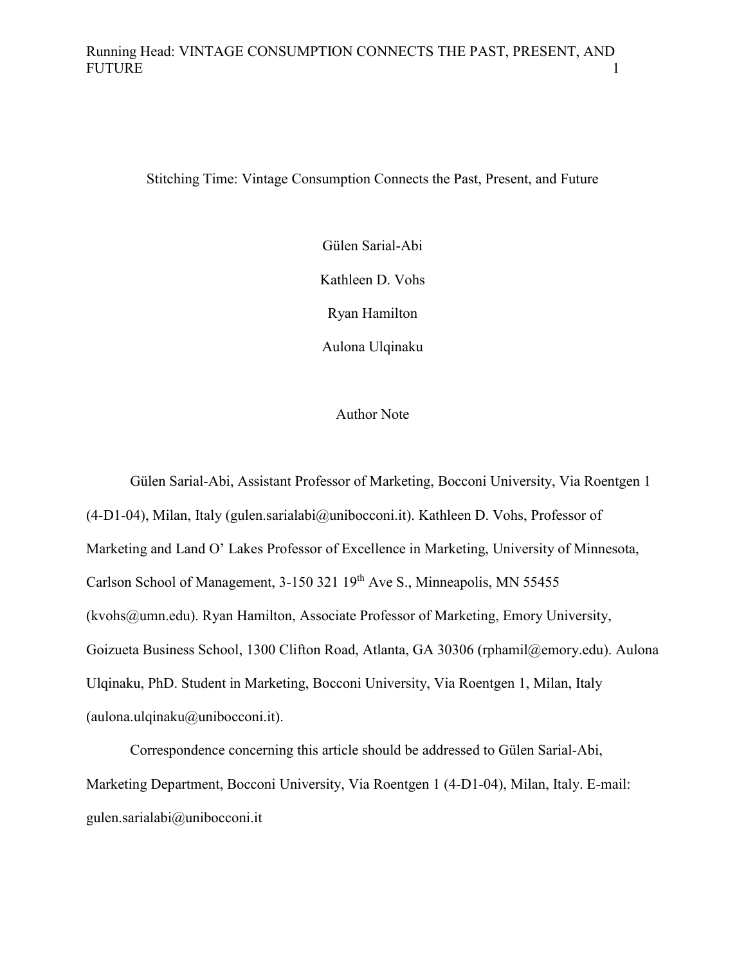Stitching Time: Vintage Consumption Connects the Past, Present, and Future

Gülen Sarial-Abi

Kathleen D. Vohs

Ryan Hamilton

Aulona Ulqinaku

#### Author Note

Gülen Sarial-Abi, Assistant Professor of Marketing, Bocconi University, Via Roentgen 1 (4-D1-04), Milan, Italy (gulen.sarialabi@unibocconi.it). Kathleen D. Vohs, Professor of Marketing and Land O' Lakes Professor of Excellence in Marketing, University of Minnesota, Carlson School of Management, 3-150 321 19<sup>th</sup> Ave S., Minneapolis, MN 55455 (kvohs@umn.edu). Ryan Hamilton, Associate Professor of Marketing, Emory University, Goizueta Business School, 1300 Clifton Road, Atlanta, GA 30306 (rphamil@emory.edu). Aulona Ulqinaku, PhD. Student in Marketing, Bocconi University, Via Roentgen 1, Milan, Italy  $(aulona.uqinaku@unibocconi.it).$ 

Correspondence concerning this article should be addressed to Gülen Sarial-Abi, Marketing Department, Bocconi University, Via Roentgen 1 (4-D1-04), Milan, Italy. E-mail: gulen.sarialabi@unibocconi.it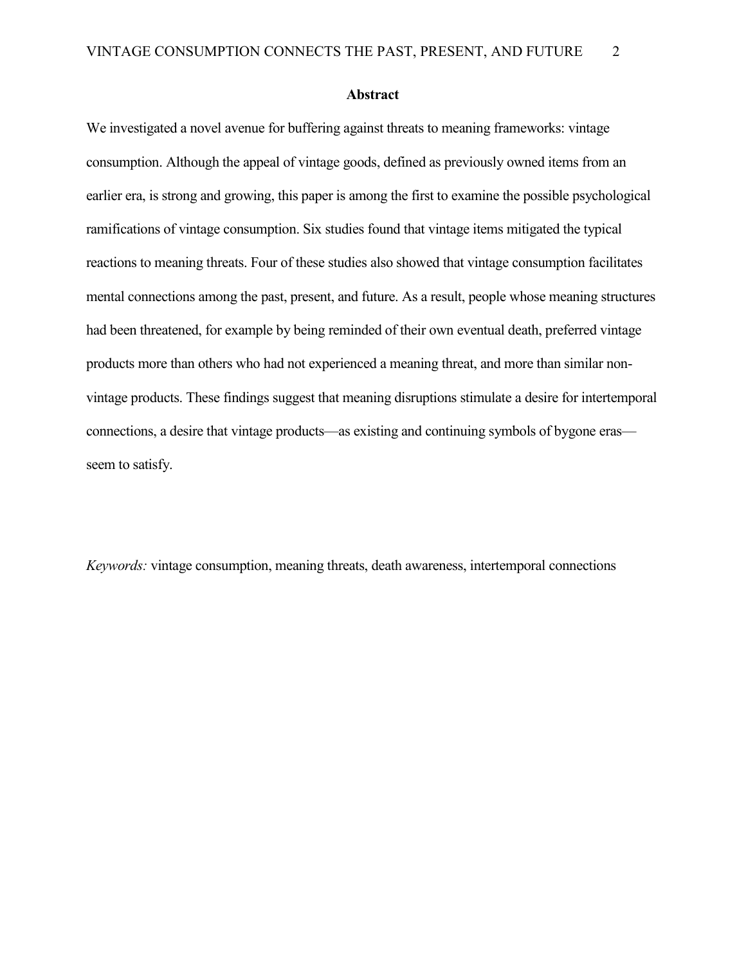#### **Abstract**

We investigated a novel avenue for buffering against threats to meaning frameworks: vintage consumption. Although the appeal of vintage goods, defined as previously owned items from an earlier era, is strong and growing, this paper is among the first to examine the possible psychological ramifications of vintage consumption. Six studies found that vintage items mitigated the typical reactions to meaning threats. Four of these studies also showed that vintage consumption facilitates mental connections among the past, present, and future. As a result, people whose meaning structures had been threatened, for example by being reminded of their own eventual death, preferred vintage products more than others who had not experienced a meaning threat, and more than similar nonvintage products. These findings suggest that meaning disruptions stimulate a desire for intertemporal connections, a desire that vintage products—as existing and continuing symbols of bygone eras seem to satisfy.

*Keywords:* vintage consumption, meaning threats, death awareness, intertemporal connections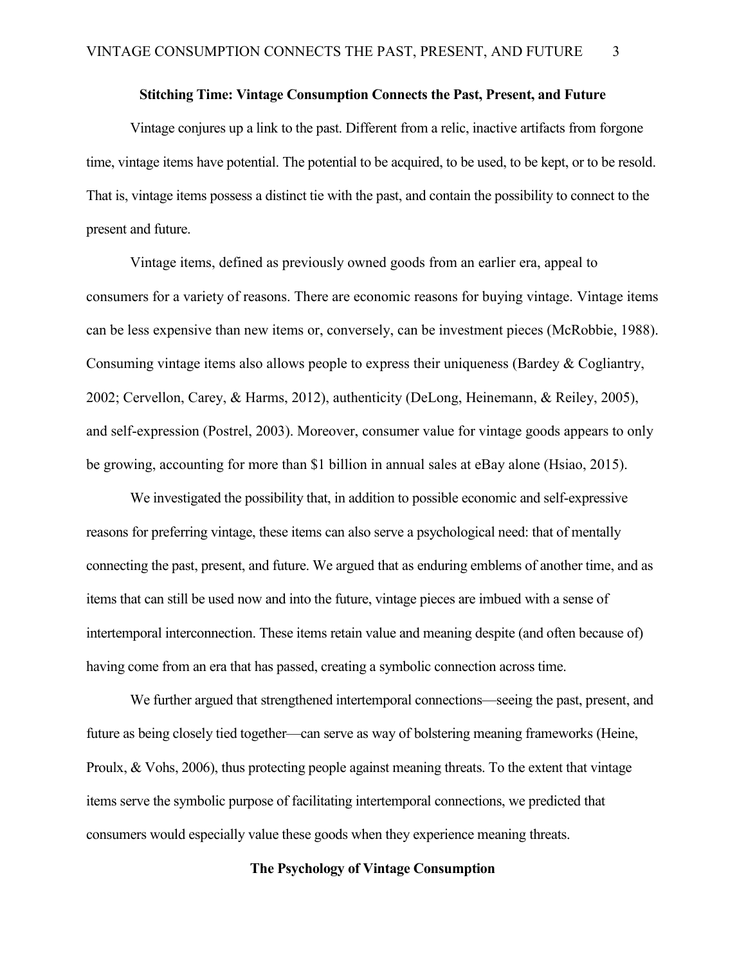#### **Stitching Time: Vintage Consumption Connects the Past, Present, and Future**

Vintage conjures up a link to the past. Different from a relic, inactive artifacts from forgone time, vintage items have potential. The potential to be acquired, to be used, to be kept, or to be resold. That is, vintage items possess a distinct tie with the past, and contain the possibility to connect to the present and future.

Vintage items, defined as previously owned goods from an earlier era, appeal to consumers for a variety of reasons. There are economic reasons for buying vintage. Vintage items can be less expensive than new items or, conversely, can be investment pieces (McRobbie, 1988). Consuming vintage items also allows people to express their uniqueness (Bardey  $\&$  Cogliantry, 2002; Cervellon, Carey, & Harms, 2012), authenticity (DeLong, Heinemann, & Reiley, 2005), and self-expression (Postrel, 2003). Moreover, consumer value for vintage goods appears to only be growing, accounting for more than \$1 billion in annual sales at eBay alone (Hsiao, 2015).

We investigated the possibility that, in addition to possible economic and self-expressive reasons for preferring vintage, these items can also serve a psychological need: that of mentally connecting the past, present, and future. We argued that as enduring emblems of another time, and as items that can still be used now and into the future, vintage pieces are imbued with a sense of intertemporal interconnection. These items retain value and meaning despite (and often because of) having come from an era that has passed, creating a symbolic connection across time.

We further argued that strengthened intertemporal connections—seeing the past, present, and future as being closely tied together—can serve as way of bolstering meaning frameworks (Heine, Proulx, & Vohs, 2006), thus protecting people against meaning threats. To the extent that vintage items serve the symbolic purpose of facilitating intertemporal connections, we predicted that consumers would especially value these goods when they experience meaning threats.

#### **The Psychology of Vintage Consumption**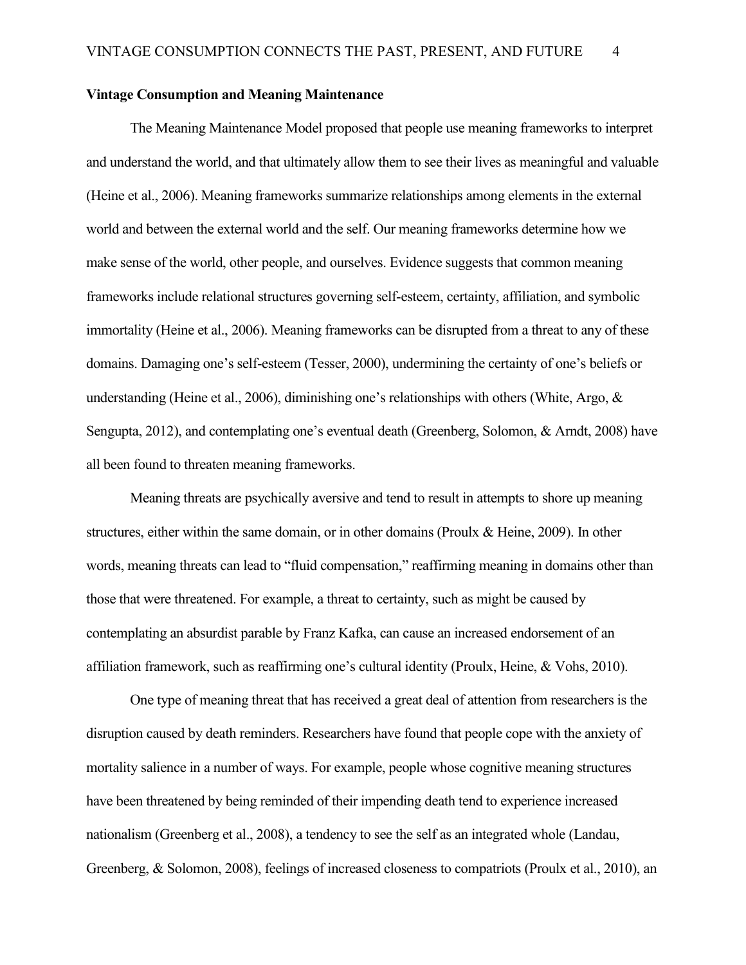#### **Vintage Consumption and Meaning Maintenance**

The Meaning Maintenance Model proposed that people use meaning frameworks to interpret and understand the world, and that ultimately allow them to see their lives as meaningful and valuable (Heine et al., 2006). Meaning frameworks summarize relationships among elements in the external world and between the external world and the self. Our meaning frameworks determine how we make sense of the world, other people, and ourselves. Evidence suggests that common meaning frameworks include relational structures governing self-esteem, certainty, affiliation, and symbolic immortality (Heine et al., 2006). Meaning frameworks can be disrupted from a threat to any of these domains. Damaging one's self-esteem (Tesser, 2000), undermining the certainty of one's beliefs or understanding (Heine et al., 2006), diminishing one's relationships with others (White, Argo, & Sengupta, 2012), and contemplating one's eventual death (Greenberg, Solomon, & Arndt, 2008) have all been found to threaten meaning frameworks.

Meaning threats are psychically aversive and tend to result in attempts to shore up meaning structures, either within the same domain, or in other domains (Proulx & Heine, 2009). In other words, meaning threats can lead to "fluid compensation," reaffirming meaning in domains other than those that were threatened. For example, a threat to certainty, such as might be caused by contemplating an absurdist parable by Franz Kafka, can cause an increased endorsement of an affiliation framework, such as reaffirming one's cultural identity (Proulx, Heine, & Vohs, 2010).

One type of meaning threat that has received a great deal of attention from researchers is the disruption caused by death reminders. Researchers have found that people cope with the anxiety of mortality salience in a number of ways. For example, people whose cognitive meaning structures have been threatened by being reminded of their impending death tend to experience increased nationalism (Greenberg et al., 2008), a tendency to see the self as an integrated whole (Landau, Greenberg, & Solomon, 2008), feelings of increased closeness to compatriots (Proulx et al., 2010), an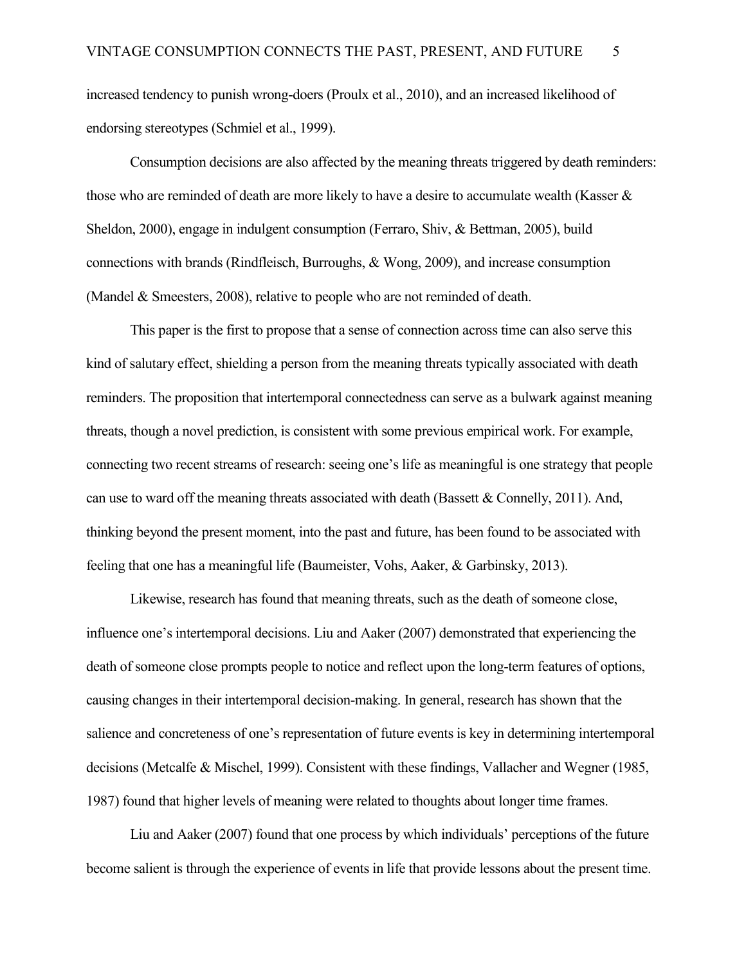increased tendency to punish wrong-doers (Proulx et al., 2010), and an increased likelihood of endorsing stereotypes (Schmiel et al., 1999).

Consumption decisions are also affected by the meaning threats triggered by death reminders: those who are reminded of death are more likely to have a desire to accumulate wealth (Kasser  $\&$ Sheldon, 2000), engage in indulgent consumption (Ferraro, Shiv, & Bettman, 2005), build connections with brands (Rindfleisch, Burroughs, & Wong, 2009), and increase consumption (Mandel & Smeesters, 2008), relative to people who are not reminded of death.

This paper is the first to propose that a sense of connection across time can also serve this kind of salutary effect, shielding a person from the meaning threats typically associated with death reminders. The proposition that intertemporal connectedness can serve as a bulwark against meaning threats, though a novel prediction, is consistent with some previous empirical work. For example, connecting two recent streams of research: seeing one's life as meaningful is one strategy that people can use to ward off the meaning threats associated with death (Bassett & Connelly, 2011). And, thinking beyond the present moment, into the past and future, has been found to be associated with feeling that one has a meaningful life (Baumeister, Vohs, Aaker, & Garbinsky, 2013).

Likewise, research has found that meaning threats, such as the death of someone close, influence one's intertemporal decisions. Liu and Aaker (2007) demonstrated that experiencing the death of someone close prompts people to notice and reflect upon the long-term features of options, causing changes in their intertemporal decision-making. In general, research has shown that the salience and concreteness of one's representation of future events is key in determining intertemporal decisions (Metcalfe & Mischel, 1999). Consistent with these findings, Vallacher and Wegner (1985, 1987) found that higher levels of meaning were related to thoughts about longer time frames.

Liu and Aaker (2007) found that one process by which individuals' perceptions of the future become salient is through the experience of events in life that provide lessons about the present time.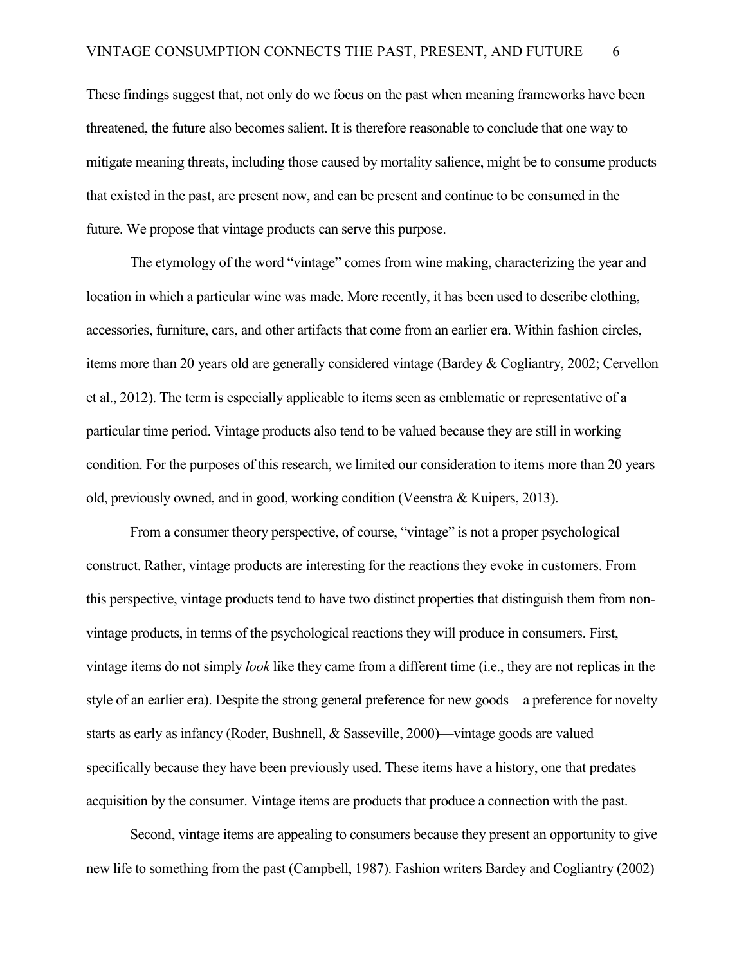These findings suggest that, not only do we focus on the past when meaning frameworks have been threatened, the future also becomes salient. It is therefore reasonable to conclude that one way to mitigate meaning threats, including those caused by mortality salience, might be to consume products that existed in the past, are present now, and can be present and continue to be consumed in the future. We propose that vintage products can serve this purpose.

The etymology of the word "vintage" comes from wine making, characterizing the year and location in which a particular wine was made. More recently, it has been used to describe clothing, accessories, furniture, cars, and other artifacts that come from an earlier era. Within fashion circles, items more than 20 years old are generally considered vintage (Bardey & Cogliantry, 2002; Cervellon et al., 2012). The term is especially applicable to items seen as emblematic or representative of a particular time period. Vintage products also tend to be valued because they are still in working condition. For the purposes of this research, we limited our consideration to items more than 20 years old, previously owned, and in good, working condition (Veenstra & Kuipers, 2013).

From a consumer theory perspective, of course, "vintage" is not a proper psychological construct. Rather, vintage products are interesting for the reactions they evoke in customers. From this perspective, vintage products tend to have two distinct properties that distinguish them from nonvintage products, in terms of the psychological reactions they will produce in consumers. First, vintage items do not simply *look* like they came from a different time (i.e., they are not replicas in the style of an earlier era). Despite the strong general preference for new goods—a preference for novelty starts as early as infancy (Roder, Bushnell, & Sasseville, 2000)—vintage goods are valued specifically because they have been previously used. These items have a history, one that predates acquisition by the consumer. Vintage items are products that produce a connection with the past.

Second, vintage items are appealing to consumers because they present an opportunity to give new life to something from the past (Campbell, 1987). Fashion writers Bardey and Cogliantry (2002)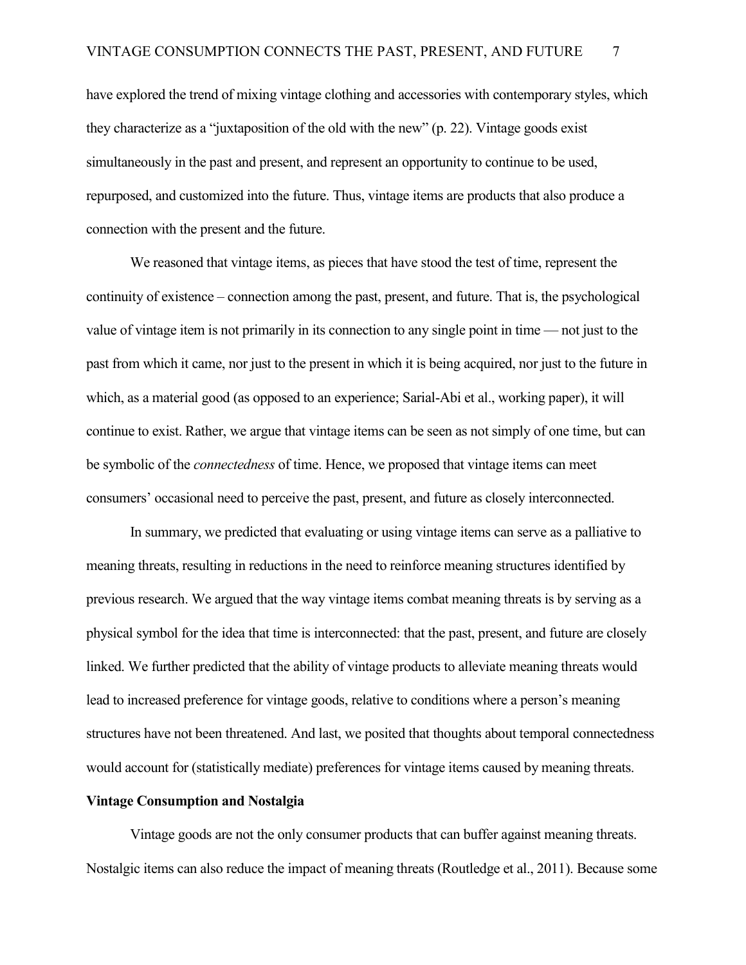have explored the trend of mixing vintage clothing and accessories with contemporary styles, which they characterize as a "juxtaposition of the old with the new" (p. 22). Vintage goods exist simultaneously in the past and present, and represent an opportunity to continue to be used, repurposed, and customized into the future. Thus, vintage items are products that also produce a connection with the present and the future.

We reasoned that vintage items, as pieces that have stood the test of time, represent the continuity of existence – connection among the past, present, and future. That is, the psychological value of vintage item is not primarily in its connection to any single point in time — not just to the past from which it came, nor just to the present in which it is being acquired, nor just to the future in which, as a material good (as opposed to an experience; Sarial-Abi et al., working paper), it will continue to exist. Rather, we argue that vintage items can be seen as not simply of one time, but can be symbolic of the *connectedness* of time. Hence, we proposed that vintage items can meet consumers' occasional need to perceive the past, present, and future as closely interconnected.

In summary, we predicted that evaluating or using vintage items can serve as a palliative to meaning threats, resulting in reductions in the need to reinforce meaning structures identified by previous research. We argued that the way vintage items combat meaning threats is by serving as a physical symbol for the idea that time is interconnected: that the past, present, and future are closely linked. We further predicted that the ability of vintage products to alleviate meaning threats would lead to increased preference for vintage goods, relative to conditions where a person's meaning structures have not been threatened. And last, we posited that thoughts about temporal connectedness would account for (statistically mediate) preferences for vintage items caused by meaning threats.

#### **Vintage Consumption and Nostalgia**

Vintage goods are not the only consumer products that can buffer against meaning threats. Nostalgic items can also reduce the impact of meaning threats (Routledge et al., 2011). Because some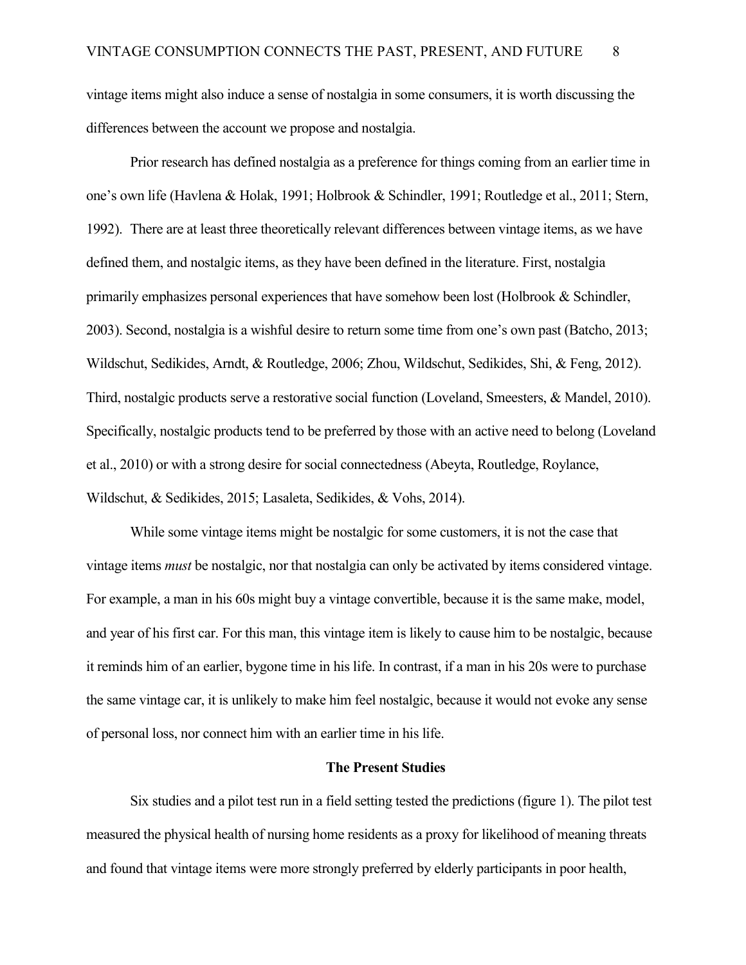vintage items might also induce a sense of nostalgia in some consumers, it is worth discussing the differences between the account we propose and nostalgia.

Prior research has defined nostalgia as a preference for things coming from an earlier time in one's own life (Havlena & Holak, 1991; Holbrook & Schindler, 1991; Routledge et al., 2011; Stern, 1992). There are at least three theoretically relevant differences between vintage items, as we have defined them, and nostalgic items, as they have been defined in the literature. First, nostalgia primarily emphasizes personal experiences that have somehow been lost (Holbrook & Schindler, 2003). Second, nostalgia is a wishful desire to return some time from one's own past (Batcho, 2013; Wildschut, Sedikides, Arndt, & Routledge, 2006; Zhou, Wildschut, Sedikides, Shi, & Feng, 2012). Third, nostalgic products serve a restorative social function (Loveland, Smeesters, & Mandel, 2010). Specifically, nostalgic products tend to be preferred by those with an active need to belong (Loveland et al., 2010) or with a strong desire for social connectedness (Abeyta, Routledge, Roylance, Wildschut, & Sedikides, 2015; Lasaleta, Sedikides, & Vohs, 2014).

While some vintage items might be nostalgic for some customers, it is not the case that vintage items *must* be nostalgic, nor that nostalgia can only be activated by items considered vintage. For example, a man in his 60s might buy a vintage convertible, because it is the same make, model, and year of his first car. For this man, this vintage item is likely to cause him to be nostalgic, because it reminds him of an earlier, bygone time in his life. In contrast, if a man in his 20s were to purchase the same vintage car, it is unlikely to make him feel nostalgic, because it would not evoke any sense of personal loss, nor connect him with an earlier time in his life.

#### **The Present Studies**

Six studies and a pilot test run in a field setting tested the predictions (figure 1). The pilot test measured the physical health of nursing home residents as a proxy for likelihood of meaning threats and found that vintage items were more strongly preferred by elderly participants in poor health,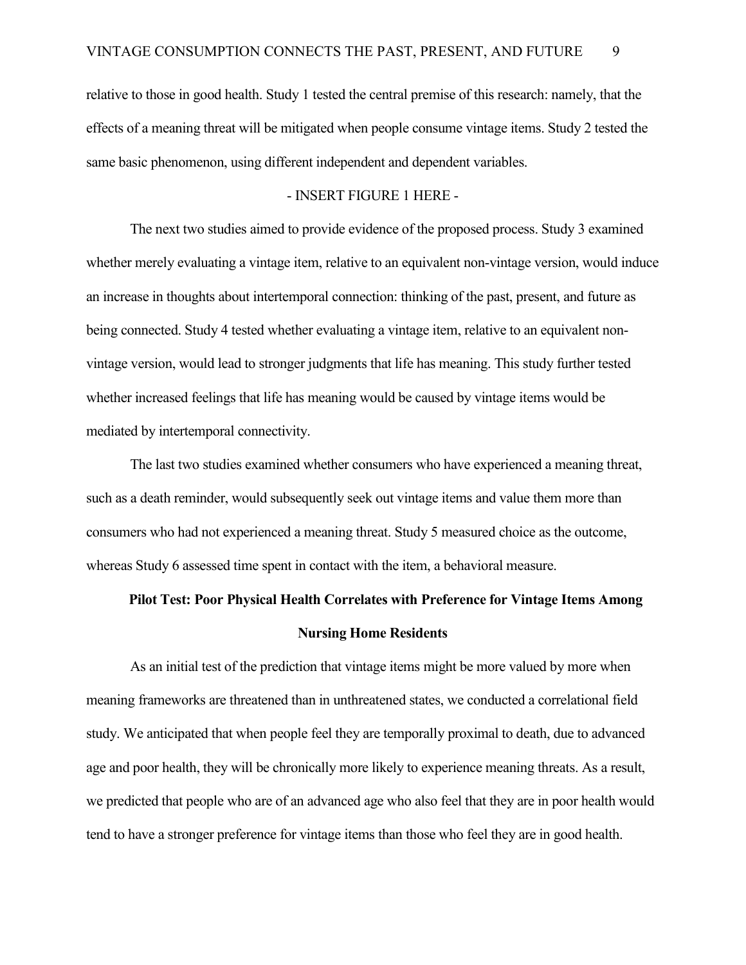relative to those in good health. Study 1 tested the central premise of this research: namely, that the effects of a meaning threat will be mitigated when people consume vintage items. Study 2 tested the same basic phenomenon, using different independent and dependent variables.

#### - INSERT FIGURE 1 HERE -

The next two studies aimed to provide evidence of the proposed process. Study 3 examined whether merely evaluating a vintage item, relative to an equivalent non-vintage version, would induce an increase in thoughts about intertemporal connection: thinking of the past, present, and future as being connected. Study 4 tested whether evaluating a vintage item, relative to an equivalent nonvintage version, would lead to stronger judgments that life has meaning. This study further tested whether increased feelings that life has meaning would be caused by vintage items would be mediated by intertemporal connectivity.

The last two studies examined whether consumers who have experienced a meaning threat, such as a death reminder, would subsequently seek out vintage items and value them more than consumers who had not experienced a meaning threat. Study 5 measured choice as the outcome, whereas Study 6 assessed time spent in contact with the item, a behavioral measure.

# **Pilot Test: Poor Physical Health Correlates with Preference for Vintage Items Among Nursing Home Residents**

As an initial test of the prediction that vintage items might be more valued by more when meaning frameworks are threatened than in unthreatened states, we conducted a correlational field study. We anticipated that when people feel they are temporally proximal to death, due to advanced age and poor health, they will be chronically more likely to experience meaning threats. As a result, we predicted that people who are of an advanced age who also feel that they are in poor health would tend to have a stronger preference for vintage items than those who feel they are in good health.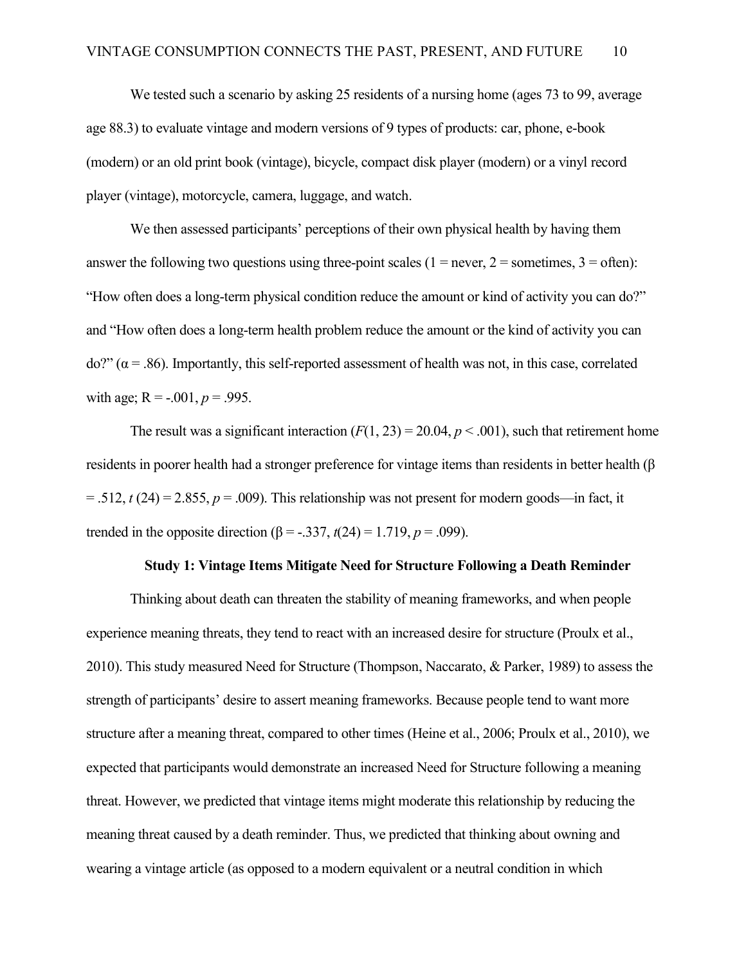We tested such a scenario by asking 25 residents of a nursing home (ages 73 to 99, average age 88.3) to evaluate vintage and modern versions of 9 types of products: car, phone, e-book (modern) or an old print book (vintage), bicycle, compact disk player (modern) or a vinyl record player (vintage), motorcycle, camera, luggage, and watch.

We then assessed participants' perceptions of their own physical health by having them answer the following two questions using three-point scales ( $1 =$  never,  $2 =$  sometimes,  $3 =$  often): "How often does a long-term physical condition reduce the amount or kind of activity you can do?" and "How often does a long-term health problem reduce the amount or the kind of activity you can  $do?$  ( $\alpha$  = .86). Importantly, this self-reported assessment of health was not, in this case, correlated with age;  $R = -0.001$ ,  $p = 0.995$ .

The result was a significant interaction  $(F(1, 23) = 20.04, p < .001)$ , such that retirement home residents in poorer health had a stronger preference for vintage items than residents in better health  $(\beta$  $=$  .512,  $t(24)$  = 2.855,  $p = .009$ ). This relationship was not present for modern goods—in fact, it trended in the opposite direction ( $\beta$  = -.337, *t*(24) = 1.719, *p* = .099).

#### **Study 1: Vintage Items Mitigate Need for Structure Following a Death Reminder**

Thinking about death can threaten the stability of meaning frameworks, and when people experience meaning threats, they tend to react with an increased desire for structure (Proulx et al., 2010). This study measured Need for Structure (Thompson, Naccarato, & Parker, 1989) to assess the strength of participants' desire to assert meaning frameworks. Because people tend to want more structure after a meaning threat, compared to other times (Heine et al., 2006; Proulx et al., 2010), we expected that participants would demonstrate an increased Need for Structure following a meaning threat. However, we predicted that vintage items might moderate this relationship by reducing the meaning threat caused by a death reminder. Thus, we predicted that thinking about owning and wearing a vintage article (as opposed to a modern equivalent or a neutral condition in which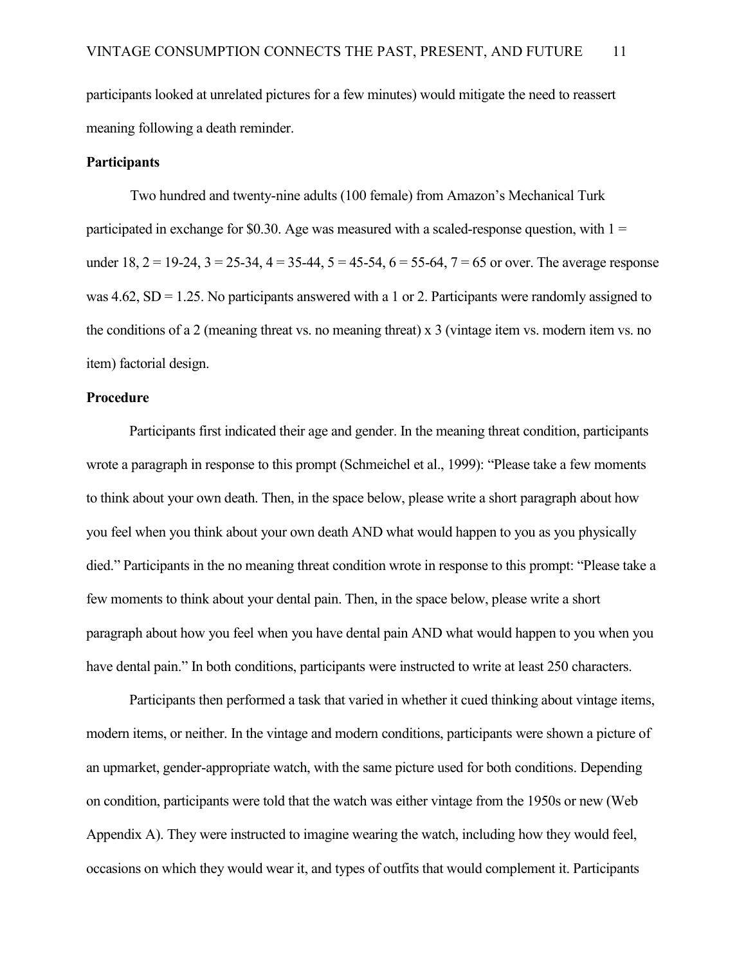participants looked at unrelated pictures for a few minutes) would mitigate the need to reassert meaning following a death reminder.

#### **Participants**

Two hundred and twenty-nine adults (100 female) from Amazon's Mechanical Turk participated in exchange for \$0.30. Age was measured with a scaled-response question, with  $1 =$ under  $18$ ,  $2 = 19-24$ ,  $3 = 25-34$ ,  $4 = 35-44$ ,  $5 = 45-54$ ,  $6 = 55-64$ ,  $7 = 65$  or over. The average response was  $4.62$ , SD = 1.25. No participants answered with a 1 or 2. Participants were randomly assigned to the conditions of a 2 (meaning threat vs. no meaning threat) x 3 (vintage item vs. modern item vs. no item) factorial design.

#### **Procedure**

Participants first indicated their age and gender. In the meaning threat condition, participants wrote a paragraph in response to this prompt (Schmeichel et al., 1999): "Please take a few moments to think about your own death. Then, in the space below, please write a short paragraph about how you feel when you think about your own death AND what would happen to you as you physically died." Participants in the no meaning threat condition wrote in response to this prompt: "Please take a few moments to think about your dental pain. Then, in the space below, please write a short paragraph about how you feel when you have dental pain AND what would happen to you when you have dental pain." In both conditions, participants were instructed to write at least 250 characters.

Participants then performed a task that varied in whether it cued thinking about vintage items, modern items, or neither. In the vintage and modern conditions, participants were shown a picture of an upmarket, gender-appropriate watch, with the same picture used for both conditions. Depending on condition, participants were told that the watch was either vintage from the 1950s or new (Web Appendix A). They were instructed to imagine wearing the watch, including how they would feel, occasions on which they would wear it, and types of outfits that would complement it. Participants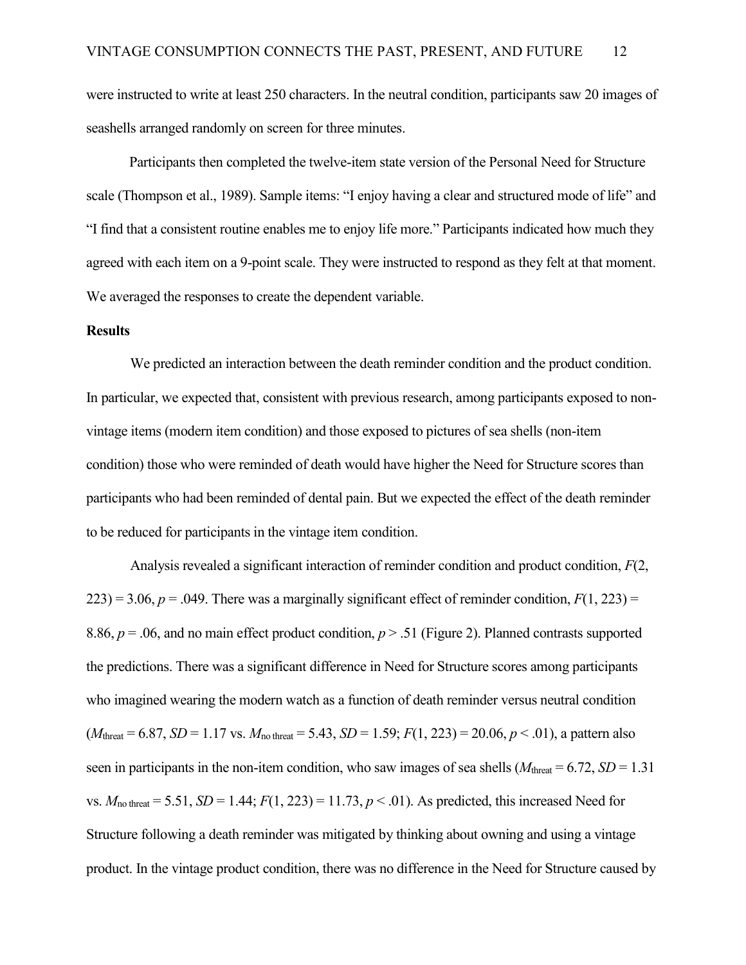were instructed to write at least 250 characters. In the neutral condition, participants saw 20 images of seashells arranged randomly on screen for three minutes.

Participants then completed the twelve-item state version of the Personal Need for Structure scale (Thompson et al., 1989). Sample items: "I enjoy having a clear and structured mode of life" and "I find that a consistent routine enables me to enjoy life more." Participants indicated how much they agreed with each item on a 9-point scale. They were instructed to respond as they felt at that moment. We averaged the responses to create the dependent variable.

#### **Results**

We predicted an interaction between the death reminder condition and the product condition. In particular, we expected that, consistent with previous research, among participants exposed to nonvintage items (modern item condition) and those exposed to pictures of sea shells (non-item condition) those who were reminded of death would have higher the Need for Structure scores than participants who had been reminded of dental pain. But we expected the effect of the death reminder to be reduced for participants in the vintage item condition.

Analysis revealed a significant interaction of reminder condition and product condition, *F*(2,  $223$ ) = 3.06,  $p = .049$ . There was a marginally significant effect of reminder condition,  $F(1, 223)$  = 8.86,  $p = 0.06$ , and no main effect product condition,  $p > 0.51$  (Figure 2). Planned contrasts supported the predictions. There was a significant difference in Need for Structure scores among participants who imagined wearing the modern watch as a function of death reminder versus neutral condition  $(M_{\text{thread}} = 6.87, SD = 1.17 \text{ vs. } M_{\text{no threat}} = 5.43, SD = 1.59; F(1, 223) = 20.06, p < .01$ , a pattern also seen in participants in the non-item condition, who saw images of sea shells  $(M<sub>thresh</sub> = 6.72, SD = 1.31)$ vs.  $M_{\text{no threat}} = 5.51$ ,  $SD = 1.44$ ;  $F(1, 223) = 11.73$ ,  $p < .01$ ). As predicted, this increased Need for Structure following a death reminder was mitigated by thinking about owning and using a vintage product. In the vintage product condition, there was no difference in the Need for Structure caused by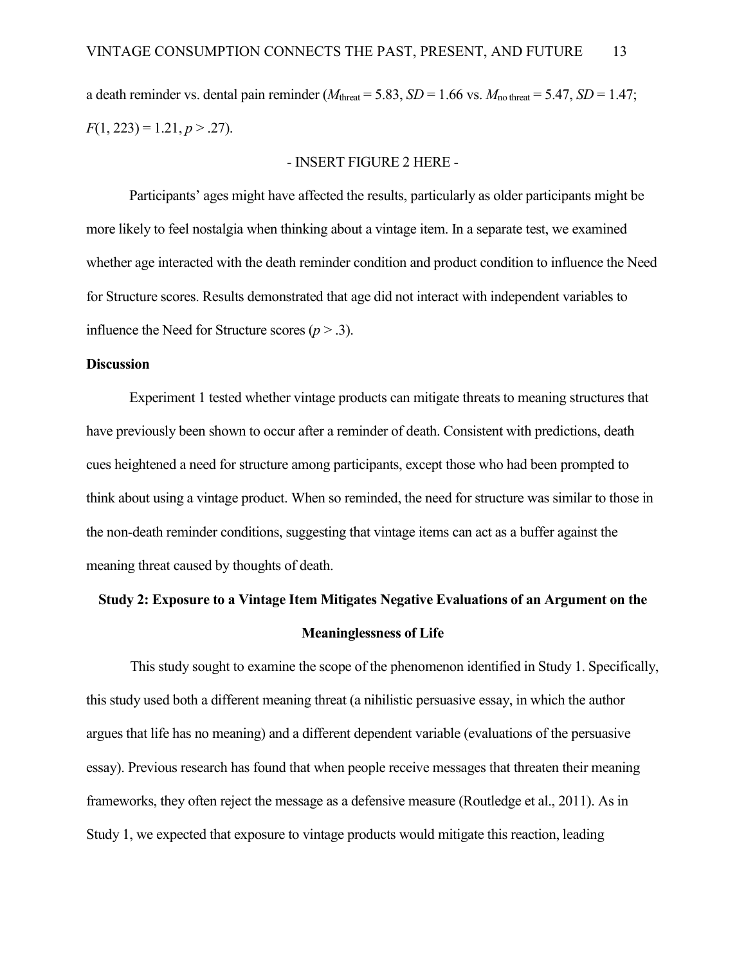a death reminder vs. dental pain reminder ( $M_{\text{thread}} = 5.83$ ,  $SD = 1.66$  vs.  $M_{\text{no threat}} = 5.47$ ,  $SD = 1.47$ ;  $F(1, 223) = 1.21, p > .27$ .

#### - INSERT FIGURE 2 HERE -

Participants' ages might have affected the results, particularly as older participants might be more likely to feel nostalgia when thinking about a vintage item. In a separate test, we examined whether age interacted with the death reminder condition and product condition to influence the Need for Structure scores. Results demonstrated that age did not interact with independent variables to influence the Need for Structure scores  $(p > .3)$ .

#### **Discussion**

Experiment 1 tested whether vintage products can mitigate threats to meaning structures that have previously been shown to occur after a reminder of death. Consistent with predictions, death cues heightened a need for structure among participants, except those who had been prompted to think about using a vintage product. When so reminded, the need for structure was similar to those in the non-death reminder conditions, suggesting that vintage items can act as a buffer against the meaning threat caused by thoughts of death.

# **Study 2: Exposure to a Vintage Item Mitigates Negative Evaluations of an Argument on the Meaninglessness of Life**

 This study sought to examine the scope of the phenomenon identified in Study 1. Specifically, this study used both a different meaning threat (a nihilistic persuasive essay, in which the author argues that life has no meaning) and a different dependent variable (evaluations of the persuasive essay). Previous research has found that when people receive messages that threaten their meaning frameworks, they often reject the message as a defensive measure (Routledge et al., 2011). As in Study 1, we expected that exposure to vintage products would mitigate this reaction, leading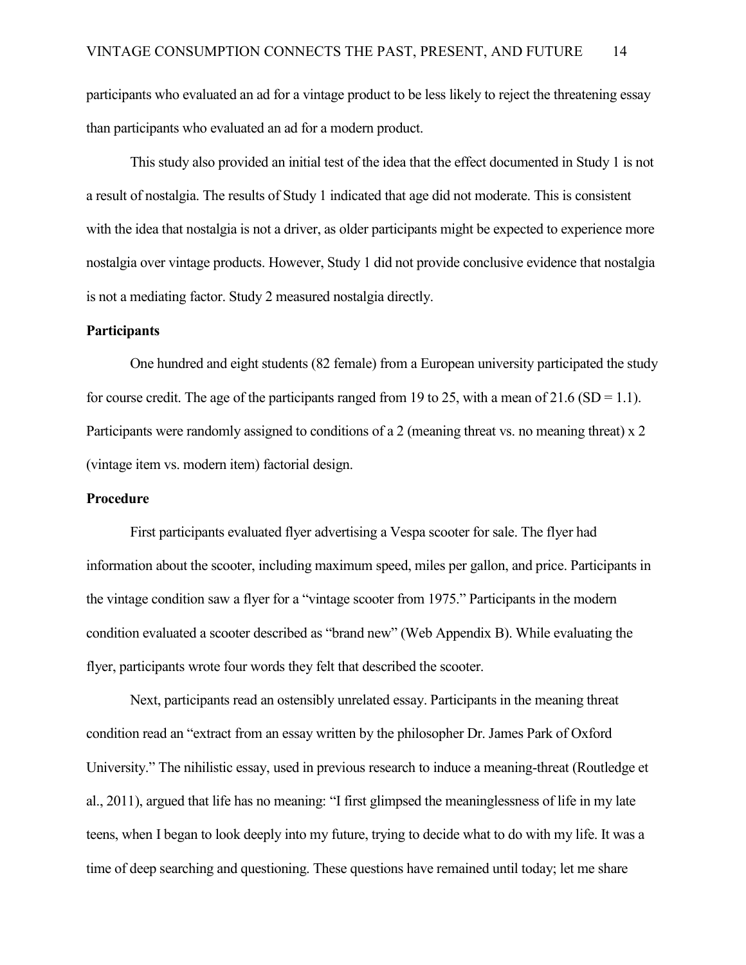participants who evaluated an ad for a vintage product to be less likely to reject the threatening essay than participants who evaluated an ad for a modern product.

This study also provided an initial test of the idea that the effect documented in Study 1 is not a result of nostalgia. The results of Study 1 indicated that age did not moderate. This is consistent with the idea that nostalgia is not a driver, as older participants might be expected to experience more nostalgia over vintage products. However, Study 1 did not provide conclusive evidence that nostalgia is not a mediating factor. Study 2 measured nostalgia directly.

#### **Participants**

One hundred and eight students (82 female) from a European university participated the study for course credit. The age of the participants ranged from 19 to 25, with a mean of 21.6 (SD = 1.1). Participants were randomly assigned to conditions of a 2 (meaning threat vs. no meaning threat) x 2 (vintage item vs. modern item) factorial design.

#### **Procedure**

 First participants evaluated flyer advertising a Vespa scooter for sale. The flyer had information about the scooter, including maximum speed, miles per gallon, and price. Participants in the vintage condition saw a flyer for a "vintage scooter from 1975." Participants in the modern condition evaluated a scooter described as "brand new" (Web Appendix B). While evaluating the flyer, participants wrote four words they felt that described the scooter.

 Next, participants read an ostensibly unrelated essay. Participants in the meaning threat condition read an "extract from an essay written by the philosopher Dr. James Park of Oxford University." The nihilistic essay, used in previous research to induce a meaning-threat (Routledge et al., 2011), argued that life has no meaning: "I first glimpsed the meaninglessness of life in my late teens, when I began to look deeply into my future, trying to decide what to do with my life. It was a time of deep searching and questioning. These questions have remained until today; let me share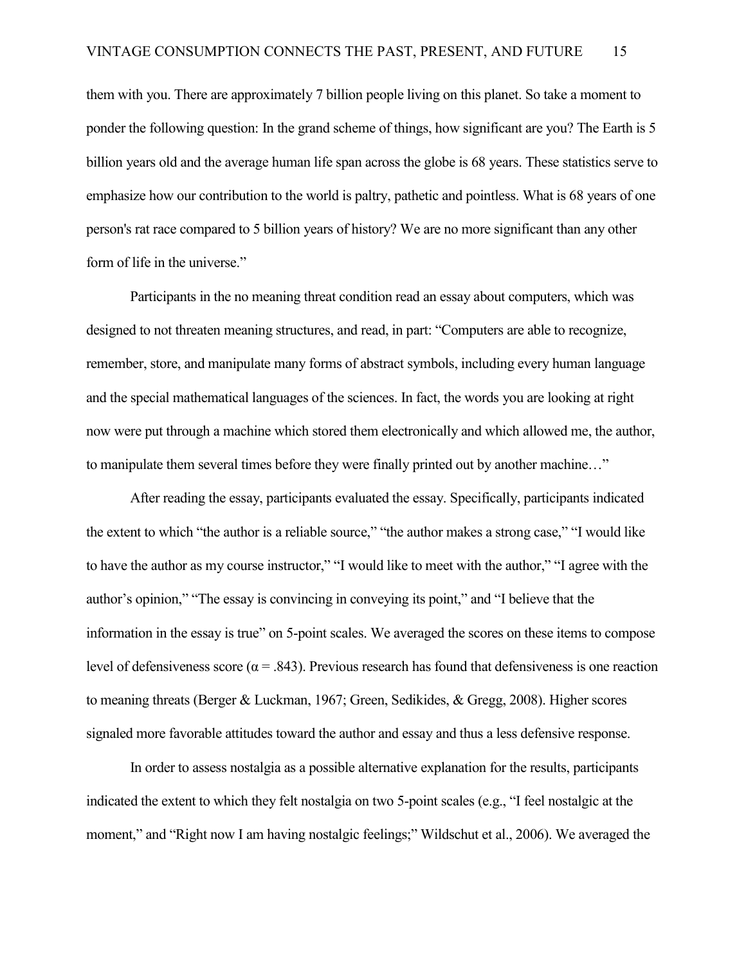them with you. There are approximately 7 billion people living on this planet. So take a moment to ponder the following question: In the grand scheme of things, how significant are you? The Earth is 5 billion years old and the average human life span across the globe is 68 years. These statistics serve to emphasize how our contribution to the world is paltry, pathetic and pointless. What is 68 years of one person's rat race compared to 5 billion years of history? We are no more significant than any other form of life in the universe."

 Participants in the no meaning threat condition read an essay about computers, which was designed to not threaten meaning structures, and read, in part: "Computers are able to recognize, remember, store, and manipulate many forms of abstract symbols, including every human language and the special mathematical languages of the sciences. In fact, the words you are looking at right now were put through a machine which stored them electronically and which allowed me, the author, to manipulate them several times before they were finally printed out by another machine…"

After reading the essay, participants evaluated the essay. Specifically, participants indicated the extent to which "the author is a reliable source," "the author makes a strong case," "I would like to have the author as my course instructor," "I would like to meet with the author," "I agree with the author's opinion," "The essay is convincing in conveying its point," and "I believe that the information in the essay is true" on 5-point scales. We averaged the scores on these items to compose level of defensiveness score ( $\alpha$  = .843). Previous research has found that defensiveness is one reaction to meaning threats (Berger & Luckman, 1967; Green, Sedikides, & Gregg, 2008). Higher scores signaled more favorable attitudes toward the author and essay and thus a less defensive response.

In order to assess nostalgia as a possible alternative explanation for the results, participants indicated the extent to which they felt nostalgia on two 5-point scales (e.g., "I feel nostalgic at the moment," and "Right now I am having nostalgic feelings;" Wildschut et al., 2006). We averaged the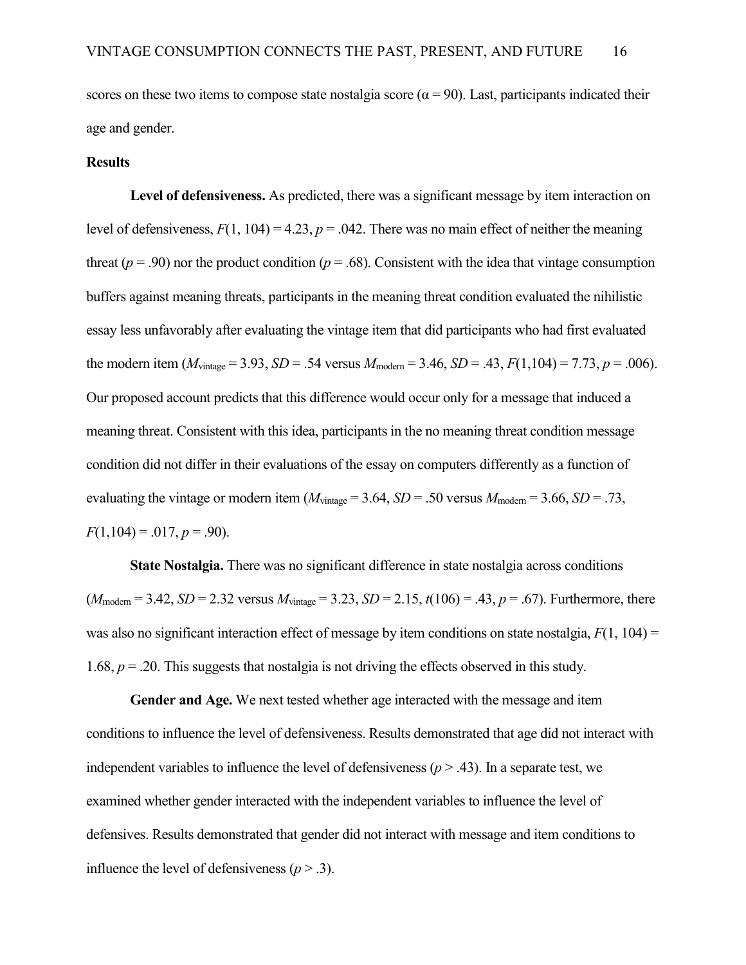scores on these two items to compose state nostalgia score ( $\alpha$  = 90). Last, participants indicated their age and gender.

#### **Results**

Level of defensiveness. As predicted, there was a significant message by item interaction on level of defensiveness,  $F(1, 104) = 4.23$ ,  $p = .042$ . There was no main effect of neither the meaning threat ( $p = .90$ ) nor the product condition ( $p = .68$ ). Consistent with the idea that vintage consumption buffers against meaning threats, participants in the meaning threat condition evaluated the nihilistic essay less unfavorably after evaluating the vintage item that did participants who had first evaluated the modern item ( $M_{vintage} = 3.93$ ,  $SD = .54$  versus  $M_{\text{modern}} = 3.46$ ,  $SD = .43$ ,  $F(1,104) = 7.73$ ,  $p = .006$ ). Our proposed account predicts that this difference would occur only for a message that induced a meaning threat. Consistent with this idea, participants in the no meaning threat condition message condition did not differ in their evaluations of the essay on computers differently as a function of evaluating the vintage or modern item ( $M_{vintage} = 3.64$ ,  $SD = .50$  versus  $M_{\text{modern}} = 3.66$ ,  $SD = .73$ ,  $F(1,104) = .017, p = .90$ .

**State Nostalgia.** There was no significant difference in state nostalgia across conditions  $(M_{\text{modern}} = 3.42, SD = 2.32 \text{ versus } M_{\text{vintage}} = 3.23, SD = 2.15, t(106) = .43, p = .67$ ). Furthermore, there was also no significant interaction effect of message by item conditions on state nostalgia,  $F(1, 104) =$ 1.68,  $p = 0.20$ . This suggests that nostalgia is not driving the effects observed in this study.

**Gender and Age.** We next tested whether age interacted with the message and item conditions to influence the level of defensiveness. Results demonstrated that age did not interact with independent variables to influence the level of defensiveness  $(p > .43)$ . In a separate test, we examined whether gender interacted with the independent variables to influence the level of defensives. Results demonstrated that gender did not interact with message and item conditions to influence the level of defensiveness  $(p > .3)$ .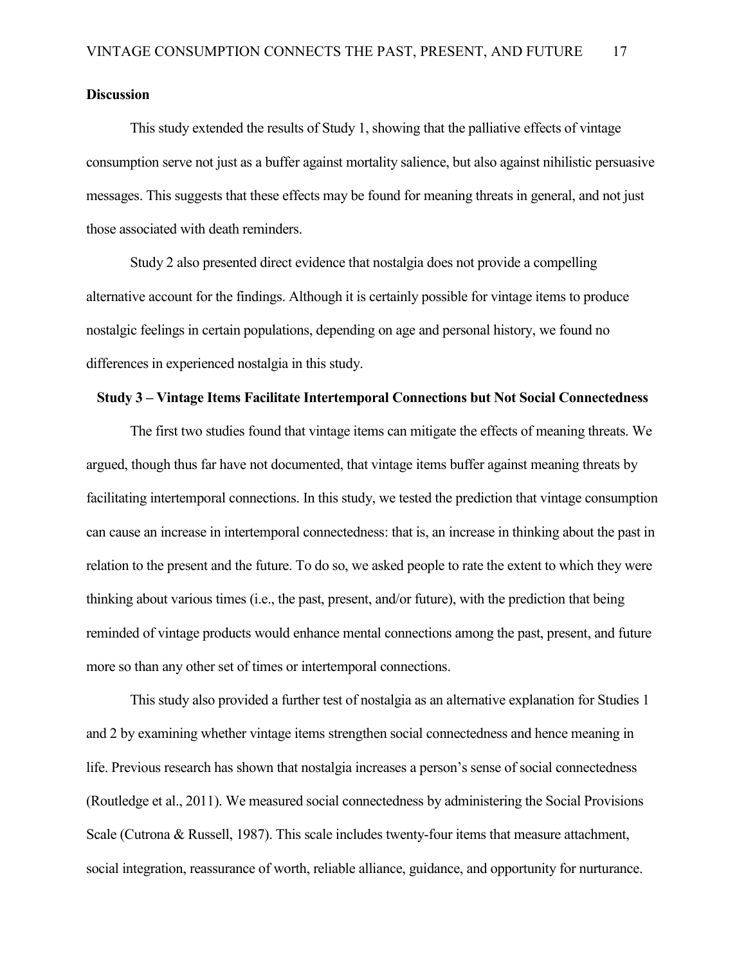#### **Discussion**

This study extended the results of Study 1, showing that the palliative effects of vintage consumption serve not just as a buffer against mortality salience, but also against nihilistic persuasive messages. This suggests that these effects may be found for meaning threats in general, and not just those associated with death reminders.

Study 2 also presented direct evidence that nostalgia does not provide a compelling alternative account for the findings. Although it is certainly possible for vintage items to produce nostalgic feelings in certain populations, depending on age and personal history, we found no differences in experienced nostalgia in this study.

#### **Study 3 – Vintage Items Facilitate Intertemporal Connections but Not Social Connectedness**

The first two studies found that vintage items can mitigate the effects of meaning threats. We argued, though thus far have not documented, that vintage items buffer against meaning threats by facilitating intertemporal connections. In this study, we tested the prediction that vintage consumption can cause an increase in intertemporal connectedness: that is, an increase in thinking about the past in relation to the present and the future. To do so, we asked people to rate the extent to which they were thinking about various times (i.e., the past, present, and/or future), with the prediction that being reminded of vintage products would enhance mental connections among the past, present, and future more so than any other set of times or intertemporal connections.

This study also provided a further test of nostalgia as an alternative explanation for Studies 1 and 2 by examining whether vintage items strengthen social connectedness and hence meaning in life. Previous research has shown that nostalgia increases a person's sense of social connectedness (Routledge et al., 2011). We measured social connectedness by administering the Social Provisions Scale (Cutrona & Russell, 1987). This scale includes twenty-four items that measure attachment, social integration, reassurance of worth, reliable alliance, guidance, and opportunity for nurturance.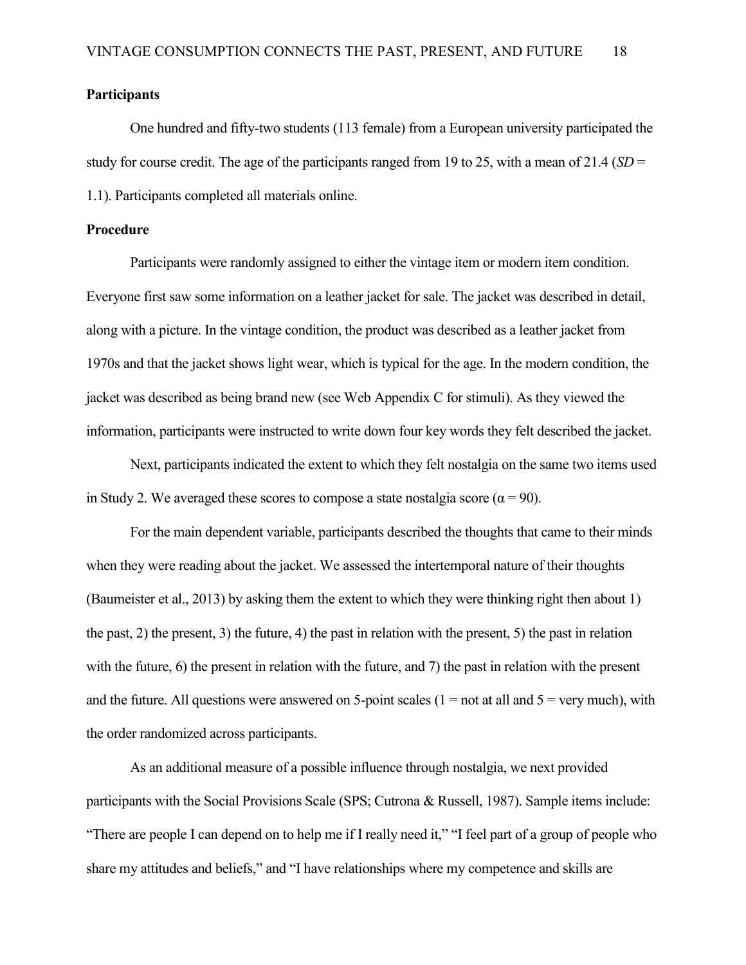#### **Participants**

 One hundred and fifty-two students (113 female) from a European university participated the study for course credit. The age of the participants ranged from 19 to 25, with a mean of 21.4 (*SD* = 1.1). Participants completed all materials online.

#### **Procedure**

 Participants were randomly assigned to either the vintage item or modern item condition. Everyone first saw some information on a leather jacket for sale. The jacket was described in detail, along with a picture. In the vintage condition, the product was described as a leather jacket from 1970s and that the jacket shows light wear, which is typical for the age. In the modern condition, the jacket was described as being brand new (see Web Appendix C for stimuli). As they viewed the information, participants were instructed to write down four key words they felt described the jacket.

Next, participants indicated the extent to which they felt nostalgia on the same two items used in Study 2. We averaged these scores to compose a state nostalgia score ( $\alpha = 90$ ).

 For the main dependent variable, participants described the thoughts that came to their minds when they were reading about the jacket. We assessed the intertemporal nature of their thoughts (Baumeister et al., 2013) by asking them the extent to which they were thinking right then about 1) the past, 2) the present, 3) the future, 4) the past in relation with the present, 5) the past in relation with the future, 6) the present in relation with the future, and 7) the past in relation with the present and the future. All questions were answered on 5-point scales  $(1 = not at all and 5 = very much)$ , with the order randomized across participants.

As an additional measure of a possible influence through nostalgia, we next provided participants with the Social Provisions Scale (SPS; Cutrona & Russell, 1987). Sample items include: "There are people I can depend on to help me if I really need it," "I feel part of a group of people who share my attitudes and beliefs," and "I have relationships where my competence and skills are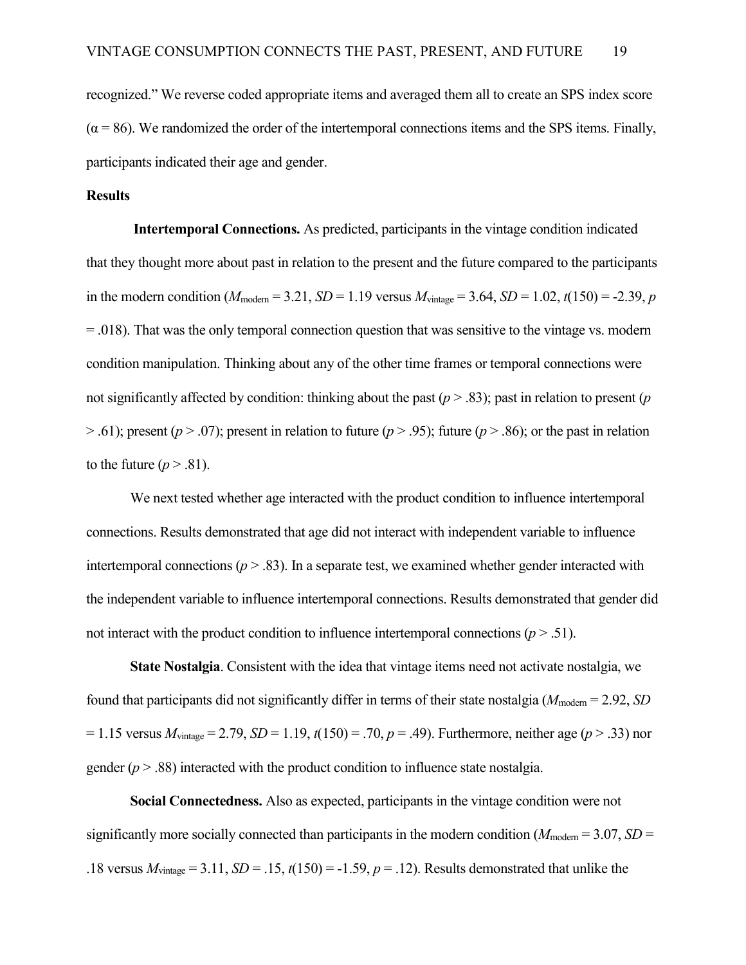recognized." We reverse coded appropriate items and averaged them all to create an SPS index score  $(\alpha = 86)$ . We randomized the order of the intertemporal connections items and the SPS items. Finally, participants indicated their age and gender.

#### **Results**

**Intertemporal Connections.** As predicted, participants in the vintage condition indicated that they thought more about past in relation to the present and the future compared to the participants in the modern condition ( $M_{\text{modern}} = 3.21$ ,  $SD = 1.19$  versus  $M_{\text{vintage}} = 3.64$ ,  $SD = 1.02$ ,  $t(150) = -2.39$ , *p* = .018). That was the only temporal connection question that was sensitive to the vintage vs. modern condition manipulation. Thinking about any of the other time frames or temporal connections were not significantly affected by condition: thinking about the past ( $p > .83$ ); past in relation to present (*p*  $>$  .61); present ( $p > 0$ .07); present in relation to future ( $p > 0.95$ ); future ( $p > 0.86$ ); or the past in relation to the future  $(p > .81)$ .

We next tested whether age interacted with the product condition to influence intertemporal connections. Results demonstrated that age did not interact with independent variable to influence intertemporal connections  $(p > .83)$ . In a separate test, we examined whether gender interacted with the independent variable to influence intertemporal connections. Results demonstrated that gender did not interact with the product condition to influence intertemporal connections  $(p > .51)$ .

**State Nostalgia**. Consistent with the idea that vintage items need not activate nostalgia, we found that participants did not significantly differ in terms of their state nostalgia ( $M_{\text{modern}} = 2.92$ , *SD*)  $= 1.15$  versus  $M_{vintage} = 2.79$ ,  $SD = 1.19$ ,  $t(150) = .70$ ,  $p = .49$ ). Furthermore, neither age ( $p > .33$ ) nor gender  $(p > .88)$  interacted with the product condition to influence state nostalgia.

**Social Connectedness.** Also as expected, participants in the vintage condition were not significantly more socially connected than participants in the modern condition ( $M_{\text{modern}} = 3.07$ , *SD* = .18 versus  $M_{vintage} = 3.11$ ,  $SD = .15$ ,  $t(150) = -1.59$ ,  $p = .12$ ). Results demonstrated that unlike the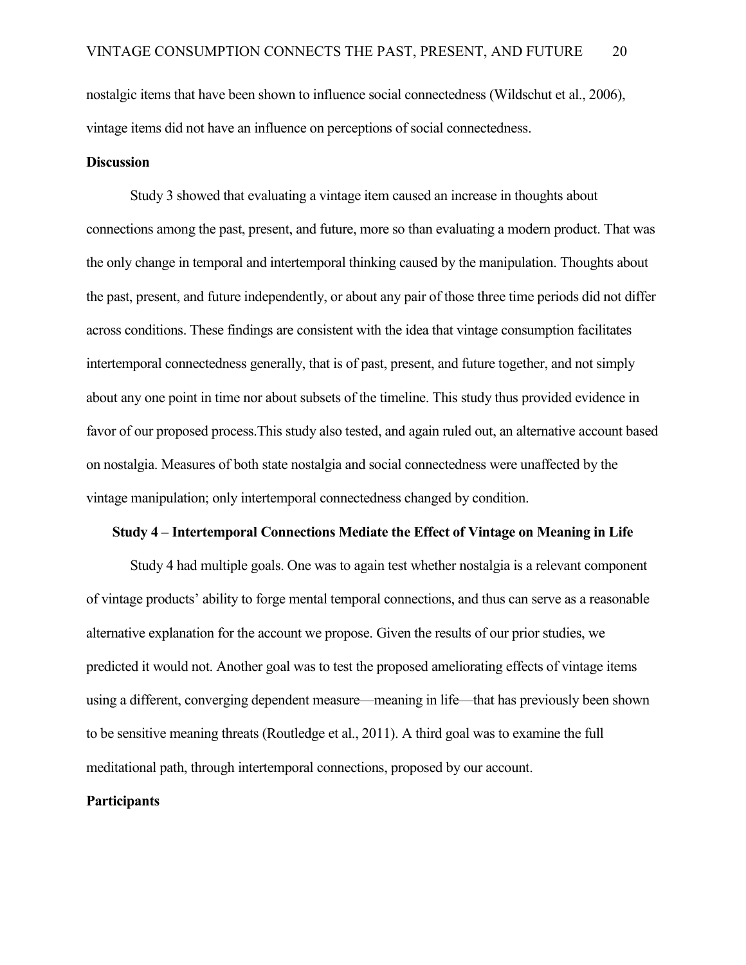nostalgic items that have been shown to influence social connectedness (Wildschut et al., 2006), vintage items did not have an influence on perceptions of social connectedness.

#### **Discussion**

Study 3 showed that evaluating a vintage item caused an increase in thoughts about connections among the past, present, and future, more so than evaluating a modern product. That was the only change in temporal and intertemporal thinking caused by the manipulation. Thoughts about the past, present, and future independently, or about any pair of those three time periods did not differ across conditions. These findings are consistent with the idea that vintage consumption facilitates intertemporal connectedness generally, that is of past, present, and future together, and not simply about any one point in time nor about subsets of the timeline. This study thus provided evidence in favor of our proposed process.This study also tested, and again ruled out, an alternative account based on nostalgia. Measures of both state nostalgia and social connectedness were unaffected by the vintage manipulation; only intertemporal connectedness changed by condition.

#### **Study 4 – Intertemporal Connections Mediate the Effect of Vintage on Meaning in Life**

 Study 4 had multiple goals. One was to again test whether nostalgia is a relevant component of vintage products' ability to forge mental temporal connections, and thus can serve as a reasonable alternative explanation for the account we propose. Given the results of our prior studies, we predicted it would not. Another goal was to test the proposed ameliorating effects of vintage items using a different, converging dependent measure—meaning in life—that has previously been shown to be sensitive meaning threats (Routledge et al., 2011). A third goal was to examine the full meditational path, through intertemporal connections, proposed by our account.

#### **Participants**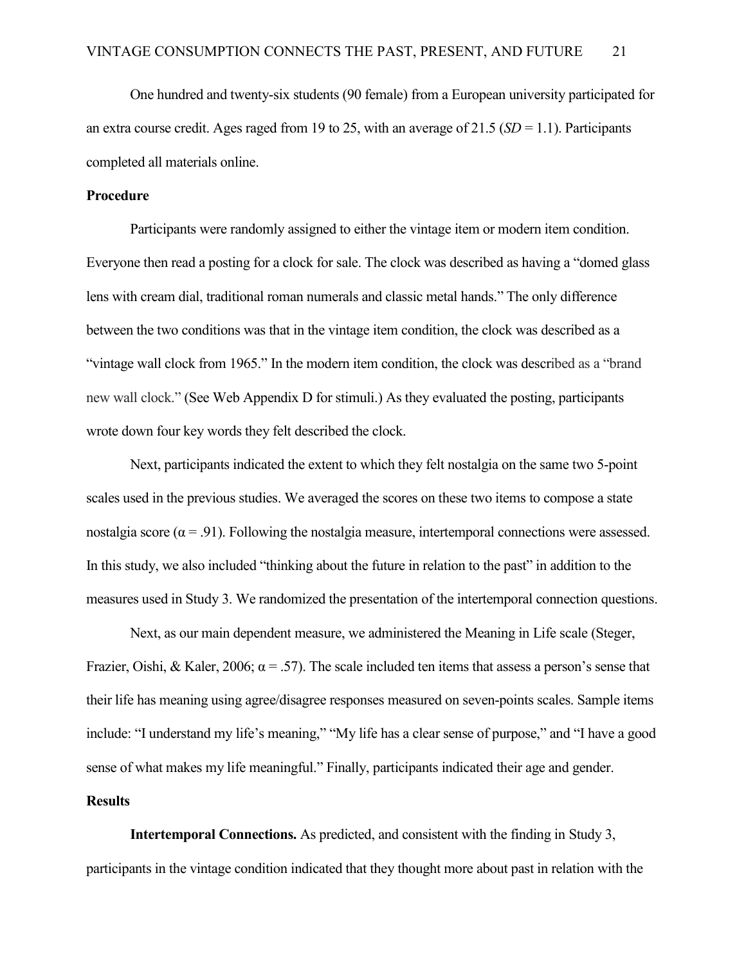One hundred and twenty-six students (90 female) from a European university participated for an extra course credit. Ages raged from 19 to 25, with an average of  $21.5$  (*SD* = 1.1). Participants completed all materials online.

#### **Procedure**

 Participants were randomly assigned to either the vintage item or modern item condition. Everyone then read a posting for a clock for sale. The clock was described as having a "domed glass lens with cream dial, traditional roman numerals and classic metal hands." The only difference between the two conditions was that in the vintage item condition, the clock was described as a "vintage wall clock from 1965." In the modern item condition, the clock was described as a "brand new wall clock." (See Web Appendix D for stimuli.) As they evaluated the posting, participants wrote down four key words they felt described the clock.

Next, participants indicated the extent to which they felt nostalgia on the same two 5-point scales used in the previous studies. We averaged the scores on these two items to compose a state nostalgia score ( $\alpha$  = .91). Following the nostalgia measure, intertemporal connections were assessed. In this study, we also included "thinking about the future in relation to the past" in addition to the measures used in Study 3. We randomized the presentation of the intertemporal connection questions.

Next, as our main dependent measure, we administered the Meaning in Life scale (Steger, Frazier, Oishi, & Kaler, 2006;  $\alpha$  = .57). The scale included ten items that assess a person's sense that their life has meaning using agree/disagree responses measured on seven-points scales. Sample items include: "I understand my life's meaning," "My life has a clear sense of purpose," and "I have a good sense of what makes my life meaningful." Finally, participants indicated their age and gender.

### **Results**

 **Intertemporal Connections.** As predicted, and consistent with the finding in Study 3, participants in the vintage condition indicated that they thought more about past in relation with the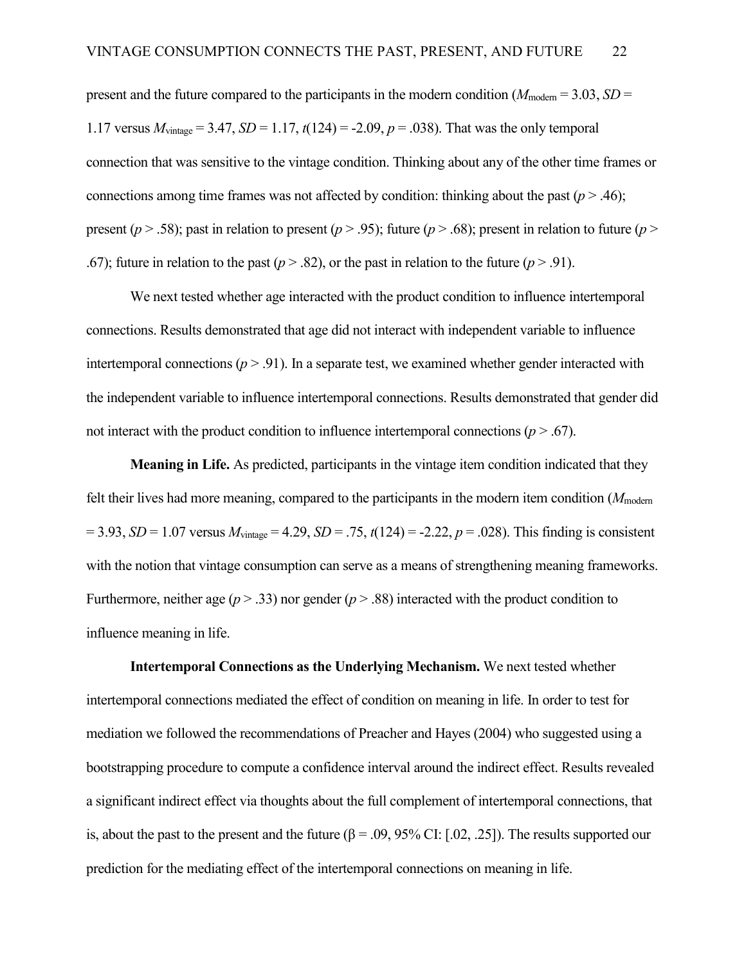present and the future compared to the participants in the modern condition ( $M_{\text{modern}} = 3.03$ , *SD* = 1.17 versus  $M_{vintase} = 3.47$ ,  $SD = 1.17$ ,  $t(124) = -2.09$ ,  $p = .038$ ). That was the only temporal connection that was sensitive to the vintage condition. Thinking about any of the other time frames or connections among time frames was not affected by condition: thinking about the past  $(p > .46)$ ; present ( $p > .58$ ); past in relation to present ( $p > .95$ ); future ( $p > .68$ ); present in relation to future ( $p >$ .67); future in relation to the past ( $p > .82$ ), or the past in relation to the future ( $p > .91$ ).

We next tested whether age interacted with the product condition to influence intertemporal connections. Results demonstrated that age did not interact with independent variable to influence intertemporal connections  $(p > .91)$ . In a separate test, we examined whether gender interacted with the independent variable to influence intertemporal connections. Results demonstrated that gender did not interact with the product condition to influence intertemporal connections  $(p > .67)$ .

**Meaning in Life.** As predicted, participants in the vintage item condition indicated that they felt their lives had more meaning, compared to the participants in the modern item condition (*M*modern  $= 3.93, SD = 1.07$  versus  $M_{vintage} = 4.29, SD = .75, t(124) = -2.22, p = .028$ ). This finding is consistent with the notion that vintage consumption can serve as a means of strengthening meaning frameworks. Furthermore, neither age ( $p > .33$ ) nor gender ( $p > .88$ ) interacted with the product condition to influence meaning in life.

 **Intertemporal Connections as the Underlying Mechanism.** We next tested whether intertemporal connections mediated the effect of condition on meaning in life. In order to test for mediation we followed the recommendations of Preacher and Hayes (2004) who suggested using a bootstrapping procedure to compute a confidence interval around the indirect effect. Results revealed a significant indirect effect via thoughts about the full complement of intertemporal connections, that is, about the past to the present and the future ( $\beta = .09, 95\%$  CI: [.02, .25]). The results supported our prediction for the mediating effect of the intertemporal connections on meaning in life.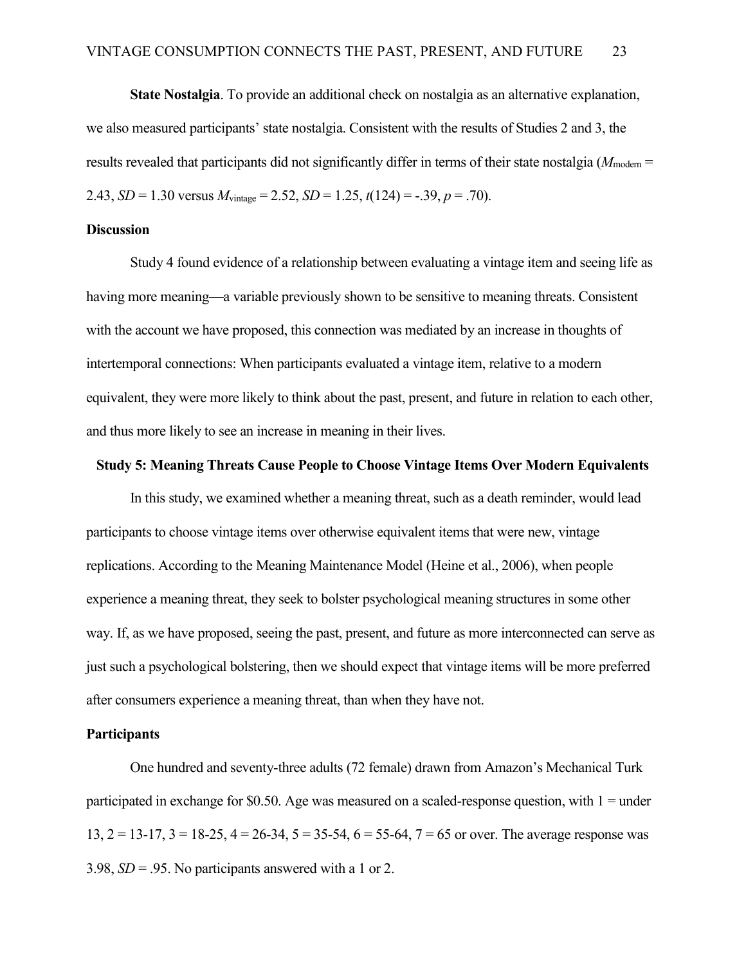**State Nostalgia**. To provide an additional check on nostalgia as an alternative explanation, we also measured participants' state nostalgia. Consistent with the results of Studies 2 and 3, the results revealed that participants did not significantly differ in terms of their state nostalgia ( $M_{\text{modern}} =$ 2.43, *SD* = 1.30 versus  $M_{vintage} = 2.52$ , *SD* = 1.25,  $t(124) = -.39$ ,  $p = .70$ ).

#### **Discussion**

 Study 4 found evidence of a relationship between evaluating a vintage item and seeing life as having more meaning—a variable previously shown to be sensitive to meaning threats. Consistent with the account we have proposed, this connection was mediated by an increase in thoughts of intertemporal connections: When participants evaluated a vintage item, relative to a modern equivalent, they were more likely to think about the past, present, and future in relation to each other, and thus more likely to see an increase in meaning in their lives.

### **Study 5: Meaning Threats Cause People to Choose Vintage Items Over Modern Equivalents**

In this study, we examined whether a meaning threat, such as a death reminder, would lead participants to choose vintage items over otherwise equivalent items that were new, vintage replications. According to the Meaning Maintenance Model (Heine et al., 2006), when people experience a meaning threat, they seek to bolster psychological meaning structures in some other way. If, as we have proposed, seeing the past, present, and future as more interconnected can serve as just such a psychological bolstering, then we should expect that vintage items will be more preferred after consumers experience a meaning threat, than when they have not.

#### **Participants**

One hundred and seventy-three adults (72 female) drawn from Amazon's Mechanical Turk participated in exchange for \$0.50. Age was measured on a scaled-response question, with  $1 =$  under 13,  $2 = 13-17$ ,  $3 = 18-25$ ,  $4 = 26-34$ ,  $5 = 35-54$ ,  $6 = 55-64$ ,  $7 = 65$  or over. The average response was 3.98, *SD* = .95. No participants answered with a 1 or 2.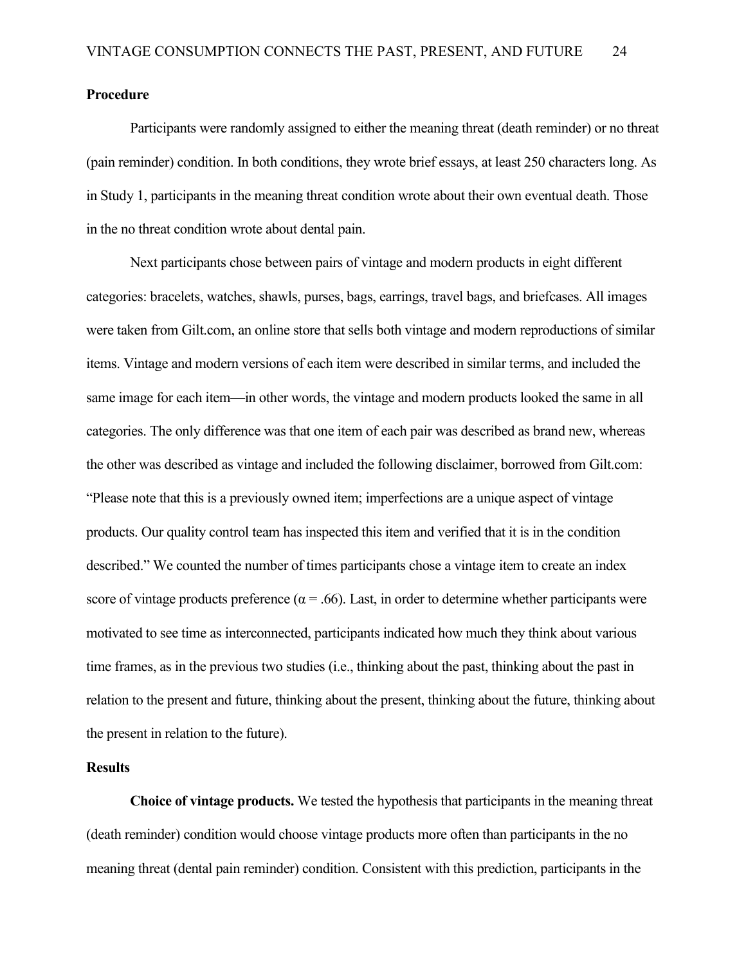#### **Procedure**

Participants were randomly assigned to either the meaning threat (death reminder) or no threat (pain reminder) condition. In both conditions, they wrote brief essays, at least 250 characters long. As in Study 1, participants in the meaning threat condition wrote about their own eventual death. Those in the no threat condition wrote about dental pain.

Next participants chose between pairs of vintage and modern products in eight different categories: bracelets, watches, shawls, purses, bags, earrings, travel bags, and briefcases. All images were taken from Gilt.com, an online store that sells both vintage and modern reproductions of similar items. Vintage and modern versions of each item were described in similar terms, and included the same image for each item—in other words, the vintage and modern products looked the same in all categories. The only difference was that one item of each pair was described as brand new, whereas the other was described as vintage and included the following disclaimer, borrowed from Gilt.com: "Please note that this is a previously owned item; imperfections are a unique aspect of vintage products. Our quality control team has inspected this item and verified that it is in the condition described." We counted the number of times participants chose a vintage item to create an index score of vintage products preference ( $\alpha$  = .66). Last, in order to determine whether participants were motivated to see time as interconnected, participants indicated how much they think about various time frames, as in the previous two studies (i.e., thinking about the past, thinking about the past in relation to the present and future, thinking about the present, thinking about the future, thinking about the present in relation to the future).

#### **Results**

**Choice of vintage products.** We tested the hypothesis that participants in the meaning threat (death reminder) condition would choose vintage products more often than participants in the no meaning threat (dental pain reminder) condition. Consistent with this prediction, participants in the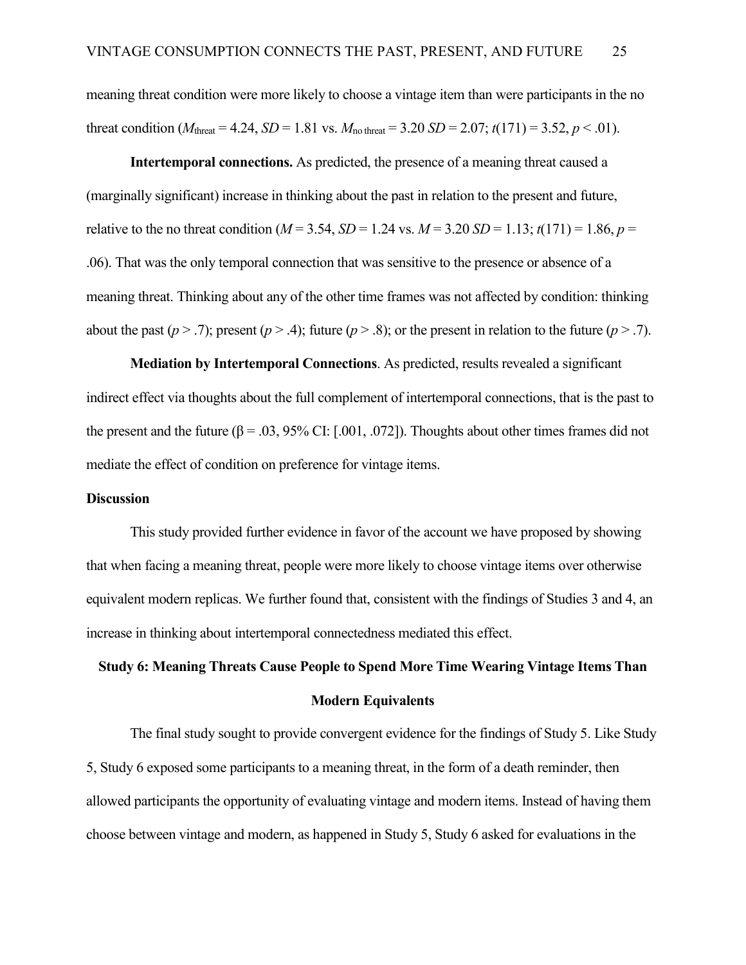meaning threat condition were more likely to choose a vintage item than were participants in the no threat condition ( $M_{\text{thresh}} = 4.24$ ,  $SD = 1.81$  vs.  $M_{\text{no threat}} = 3.20$   $SD = 2.07$ ;  $t(171) = 3.52$ ,  $p < .01$ ).

**Intertemporal connections.** As predicted, the presence of a meaning threat caused a (marginally significant) increase in thinking about the past in relation to the present and future, relative to the no threat condition ( $M = 3.54$ ,  $SD = 1.24$  vs.  $M = 3.20$   $SD = 1.13$ ;  $t(171) = 1.86$ ,  $p =$ .06). That was the only temporal connection that was sensitive to the presence or absence of a meaning threat. Thinking about any of the other time frames was not affected by condition: thinking about the past  $(p > .7)$ ; present  $(p > .4)$ ; future  $(p > .8)$ ; or the present in relation to the future  $(p > .7)$ .

**Mediation by Intertemporal Connections**. As predicted, results revealed a significant indirect effect via thoughts about the full complement of intertemporal connections, that is the past to the present and the future ( $\beta = .03, 95\%$  CI: [.001, .072]). Thoughts about other times frames did not mediate the effect of condition on preference for vintage items.

#### **Discussion**

This study provided further evidence in favor of the account we have proposed by showing that when facing a meaning threat, people were more likely to choose vintage items over otherwise equivalent modern replicas. We further found that, consistent with the findings of Studies 3 and 4, an increase in thinking about intertemporal connectedness mediated this effect.

# **Study 6: Meaning Threats Cause People to Spend More Time Wearing Vintage Items Than Modern Equivalents**

The final study sought to provide convergent evidence for the findings of Study 5. Like Study 5, Study 6 exposed some participants to a meaning threat, in the form of a death reminder, then allowed participants the opportunity of evaluating vintage and modern items. Instead of having them choose between vintage and modern, as happened in Study 5, Study 6 asked for evaluations in the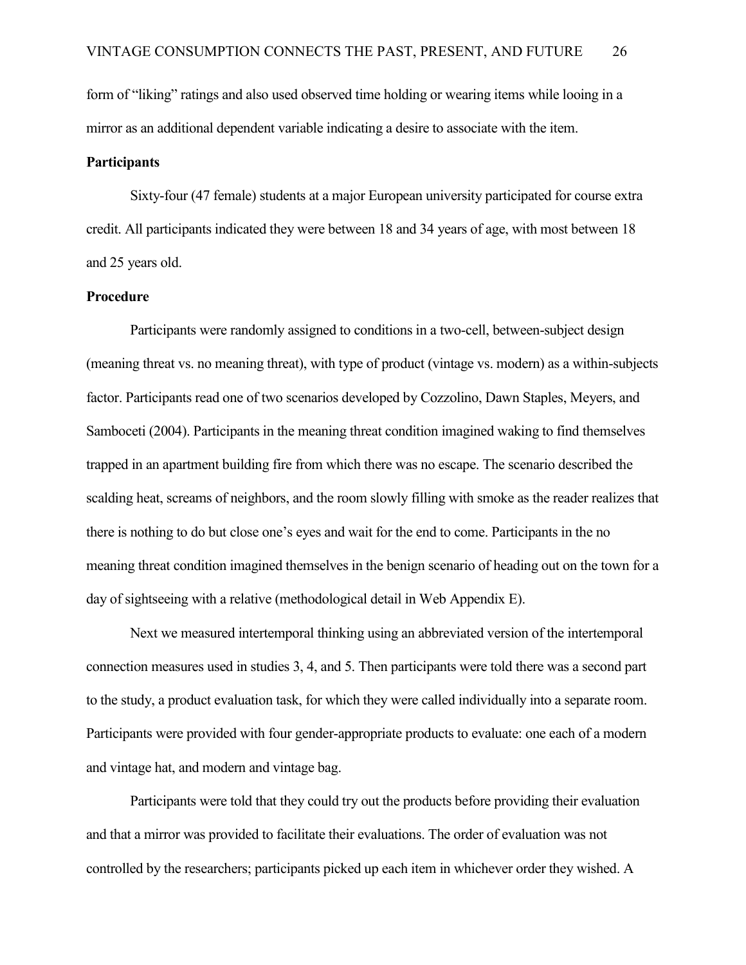form of "liking" ratings and also used observed time holding or wearing items while looing in a mirror as an additional dependent variable indicating a desire to associate with the item.

#### **Participants**

Sixty-four (47 female) students at a major European university participated for course extra credit. All participants indicated they were between 18 and 34 years of age, with most between 18 and 25 years old.

#### **Procedure**

Participants were randomly assigned to conditions in a two-cell, between-subject design (meaning threat vs. no meaning threat), with type of product (vintage vs. modern) as a within-subjects factor. Participants read one of two scenarios developed by Cozzolino, Dawn Staples, Meyers, and Samboceti (2004). Participants in the meaning threat condition imagined waking to find themselves trapped in an apartment building fire from which there was no escape. The scenario described the scalding heat, screams of neighbors, and the room slowly filling with smoke as the reader realizes that there is nothing to do but close one's eyes and wait for the end to come. Participants in the no meaning threat condition imagined themselves in the benign scenario of heading out on the town for a day of sightseeing with a relative (methodological detail in Web Appendix E).

Next we measured intertemporal thinking using an abbreviated version of the intertemporal connection measures used in studies 3, 4, and 5. Then participants were told there was a second part to the study, a product evaluation task, for which they were called individually into a separate room. Participants were provided with four gender-appropriate products to evaluate: one each of a modern and vintage hat, and modern and vintage bag.

Participants were told that they could try out the products before providing their evaluation and that a mirror was provided to facilitate their evaluations. The order of evaluation was not controlled by the researchers; participants picked up each item in whichever order they wished. A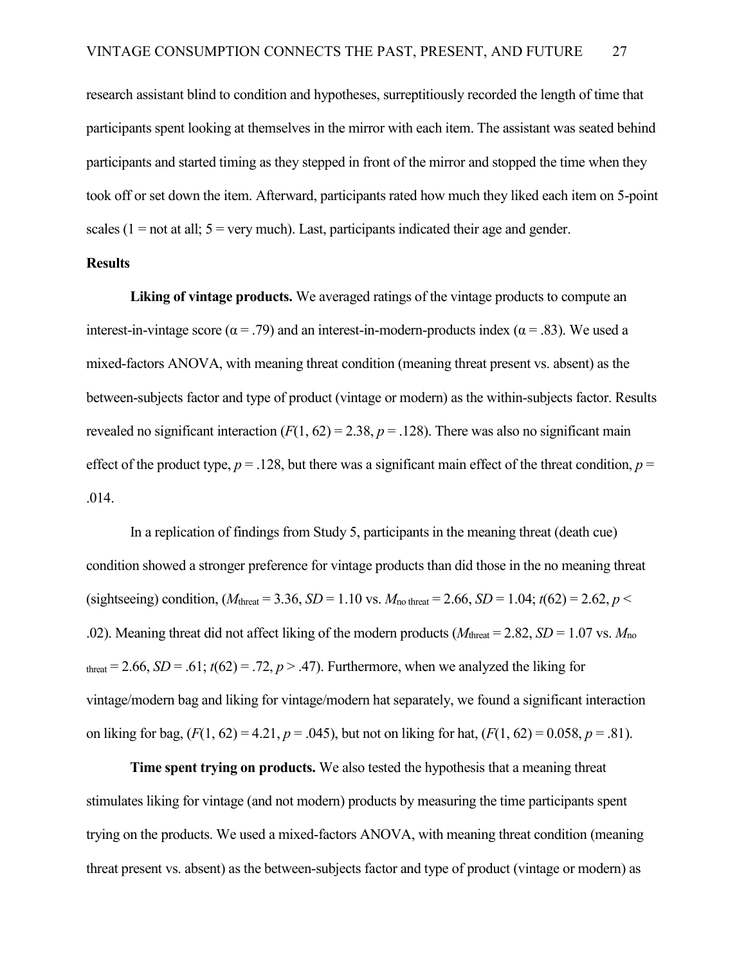research assistant blind to condition and hypotheses, surreptitiously recorded the length of time that participants spent looking at themselves in the mirror with each item. The assistant was seated behind participants and started timing as they stepped in front of the mirror and stopped the time when they took off or set down the item. Afterward, participants rated how much they liked each item on 5-point scales ( $1 = not$  at all;  $5 =$  very much). Last, participants indicated their age and gender.

#### **Results**

**Liking of vintage products.** We averaged ratings of the vintage products to compute an interest-in-vintage score ( $\alpha$  = .79) and an interest-in-modern-products index ( $\alpha$  = .83). We used a mixed-factors ANOVA, with meaning threat condition (meaning threat present vs. absent) as the between-subjects factor and type of product (vintage or modern) as the within-subjects factor. Results revealed no significant interaction  $(F(1, 62) = 2.38, p = .128)$ . There was also no significant main effect of the product type,  $p = 0.128$ , but there was a significant main effect of the threat condition,  $p = 0$ .014.

In a replication of findings from Study 5, participants in the meaning threat (death cue) condition showed a stronger preference for vintage products than did those in the no meaning threat (sightseeing) condition,  $(M_{\text{thresh}} = 3.36, SD = 1.10 \text{ vs. } M_{\text{no threat}} = 2.66, SD = 1.04; t(62) = 2.62, p <$ .02). Meaning threat did not affect liking of the modern products ( $M<sub>thresh</sub> = 2.82$ , *SD* = 1.07 vs.  $M<sub>no</sub>$ threat = 2.66, *SD* = .61;  $t(62)$  = .72,  $p > .47$ ). Furthermore, when we analyzed the liking for vintage/modern bag and liking for vintage/modern hat separately, we found a significant interaction on liking for bag,  $(F(1, 62) = 4.21, p = .045)$ , but not on liking for hat,  $(F(1, 62) = 0.058, p = .81)$ .

**Time spent trying on products.** We also tested the hypothesis that a meaning threat stimulates liking for vintage (and not modern) products by measuring the time participants spent trying on the products. We used a mixed-factors ANOVA, with meaning threat condition (meaning threat present vs. absent) as the between-subjects factor and type of product (vintage or modern) as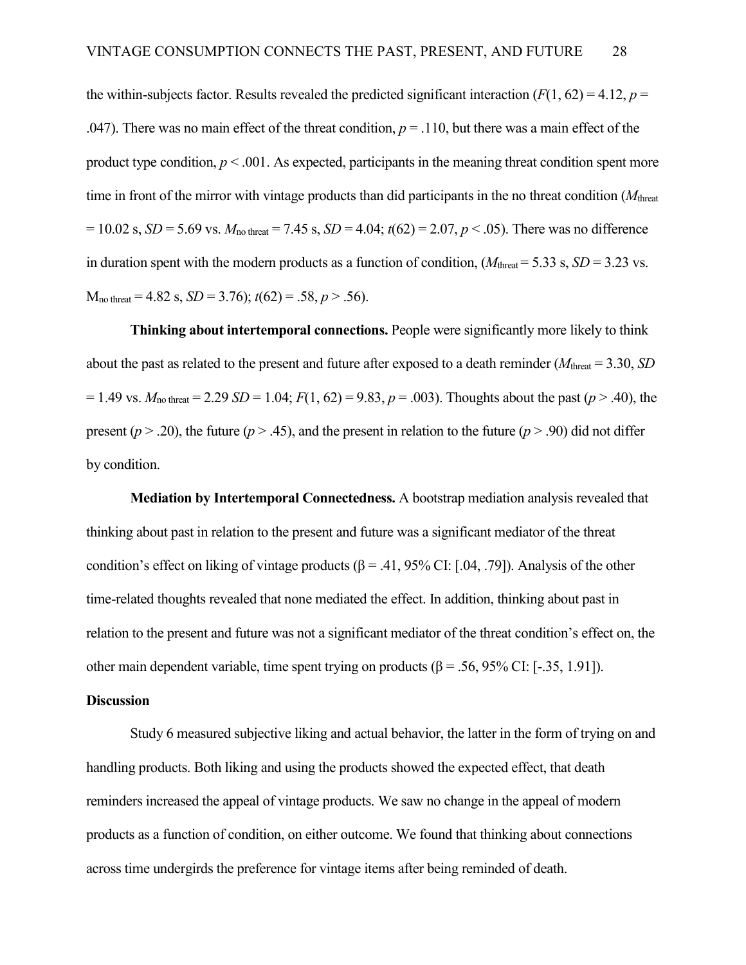the within-subjects factor. Results revealed the predicted significant interaction  $(F(1, 62) = 4.12, p =$ .047). There was no main effect of the threat condition,  $p = 0.110$ , but there was a main effect of the product type condition,  $p < .001$ . As expected, participants in the meaning threat condition spent more time in front of the mirror with vintage products than did participants in the no threat condition (*M*threat  $= 10.02$  s, *SD* = 5.69 vs.  $M_{\text{no threat}} = 7.45$  s, *SD* = 4.04;  $t(62) = 2.07, p < .05$ ). There was no difference in duration spent with the modern products as a function of condition,  $(M_{\text{thresh}} = 5.33 \text{ s}, SD = 3.23 \text{ vs.})$  $M_{\text{no threat}} = 4.82 \text{ s}, SD = 3.76$ ;  $t(62) = .58, p > .56$ ).

**Thinking about intertemporal connections.** People were significantly more likely to think about the past as related to the present and future after exposed to a death reminder (*M*threat = 3.30, *SD*  $= 1.49$  vs.  $M_{\text{no threat}} = 2.29$  *SD* = 1.04;  $F(1, 62) = 9.83$ ,  $p = .003$ ). Thoughts about the past ( $p > .40$ ), the present ( $p > 0.20$ ), the future ( $p > 0.45$ ), and the present in relation to the future ( $p > 0.90$ ) did not differ by condition.

**Mediation by Intertemporal Connectedness.** A bootstrap mediation analysis revealed that thinking about past in relation to the present and future was a significant mediator of the threat condition's effect on liking of vintage products ( $\beta$  = .41, 95% CI: [.04, .79]). Analysis of the other time-related thoughts revealed that none mediated the effect. In addition, thinking about past in relation to the present and future was not a significant mediator of the threat condition's effect on, the other main dependent variable, time spent trying on products ( $\beta$  = .56, 95% CI: [-.35, 1.91]).

#### **Discussion**

Study 6 measured subjective liking and actual behavior, the latter in the form of trying on and handling products. Both liking and using the products showed the expected effect, that death reminders increased the appeal of vintage products. We saw no change in the appeal of modern products as a function of condition, on either outcome. We found that thinking about connections across time undergirds the preference for vintage items after being reminded of death.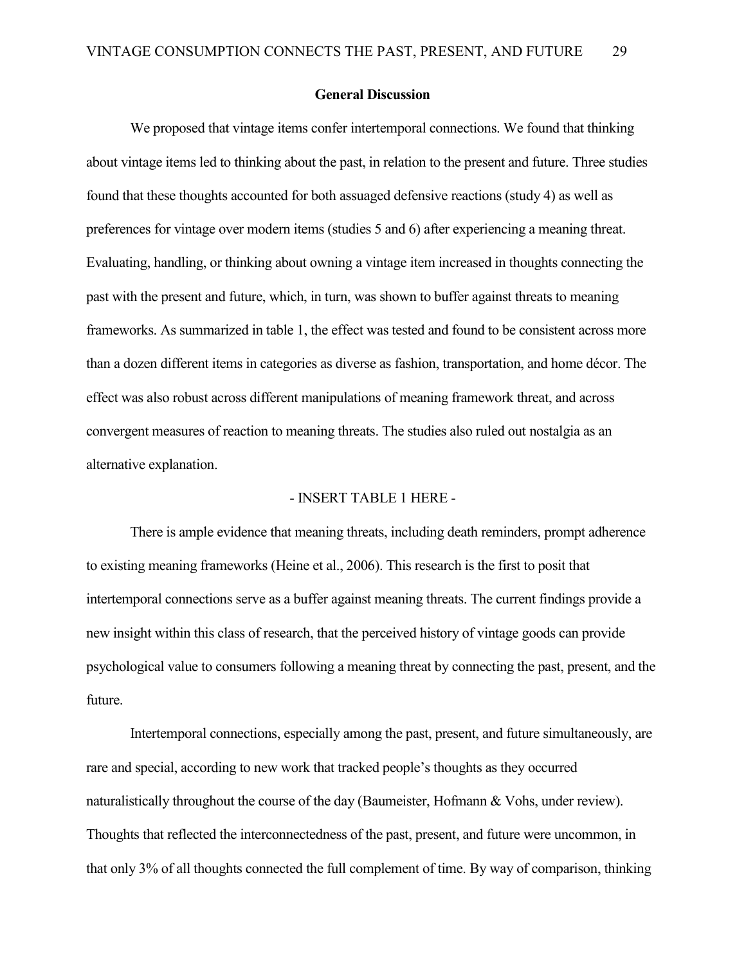#### **General Discussion**

We proposed that vintage items confer intertemporal connections. We found that thinking about vintage items led to thinking about the past, in relation to the present and future. Three studies found that these thoughts accounted for both assuaged defensive reactions (study 4) as well as preferences for vintage over modern items (studies 5 and 6) after experiencing a meaning threat. Evaluating, handling, or thinking about owning a vintage item increased in thoughts connecting the past with the present and future, which, in turn, was shown to buffer against threats to meaning frameworks. As summarized in table 1, the effect was tested and found to be consistent across more than a dozen different items in categories as diverse as fashion, transportation, and home décor. The effect was also robust across different manipulations of meaning framework threat, and across convergent measures of reaction to meaning threats. The studies also ruled out nostalgia as an alternative explanation.

#### - INSERT TABLE 1 HERE -

There is ample evidence that meaning threats, including death reminders, prompt adherence to existing meaning frameworks (Heine et al., 2006). This research is the first to posit that intertemporal connections serve as a buffer against meaning threats. The current findings provide a new insight within this class of research, that the perceived history of vintage goods can provide psychological value to consumers following a meaning threat by connecting the past, present, and the future.

Intertemporal connections, especially among the past, present, and future simultaneously, are rare and special, according to new work that tracked people's thoughts as they occurred naturalistically throughout the course of the day (Baumeister, Hofmann & Vohs, under review). Thoughts that reflected the interconnectedness of the past, present, and future were uncommon, in that only 3% of all thoughts connected the full complement of time. By way of comparison, thinking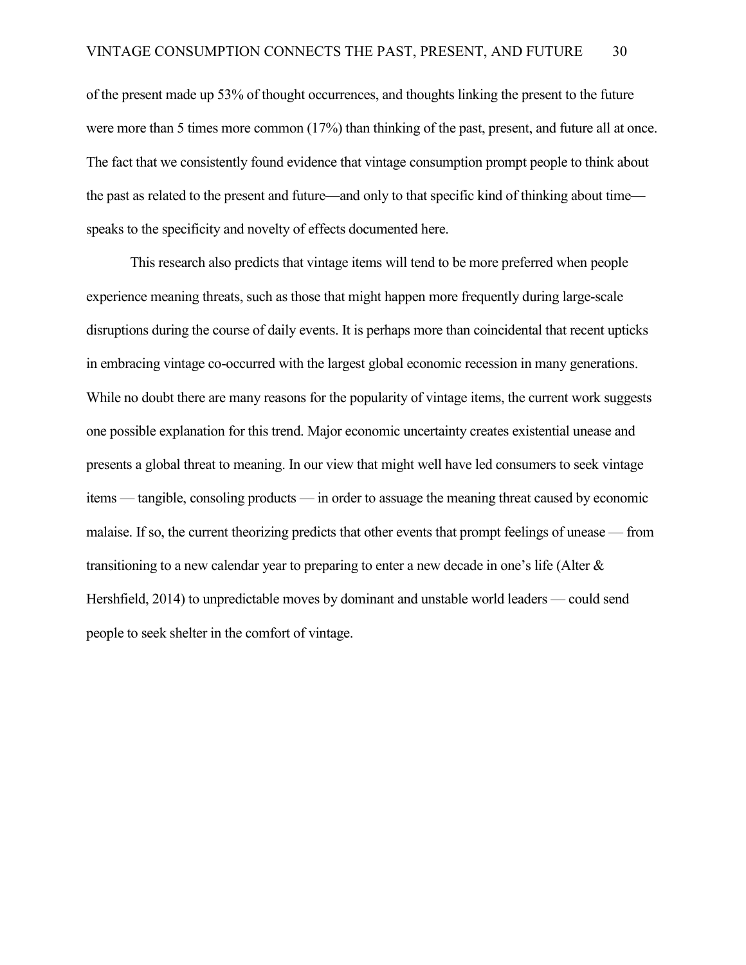of the present made up 53% of thought occurrences, and thoughts linking the present to the future were more than 5 times more common (17%) than thinking of the past, present, and future all at once. The fact that we consistently found evidence that vintage consumption prompt people to think about the past as related to the present and future—and only to that specific kind of thinking about time speaks to the specificity and novelty of effects documented here.

This research also predicts that vintage items will tend to be more preferred when people experience meaning threats, such as those that might happen more frequently during large-scale disruptions during the course of daily events. It is perhaps more than coincidental that recent upticks in embracing vintage co-occurred with the largest global economic recession in many generations. While no doubt there are many reasons for the popularity of vintage items, the current work suggests one possible explanation for this trend. Major economic uncertainty creates existential unease and presents a global threat to meaning. In our view that might well have led consumers to seek vintage items — tangible, consoling products — in order to assuage the meaning threat caused by economic malaise. If so, the current theorizing predicts that other events that prompt feelings of unease — from transitioning to a new calendar year to preparing to enter a new decade in one's life (Alter & Hershfield, 2014) to unpredictable moves by dominant and unstable world leaders — could send people to seek shelter in the comfort of vintage.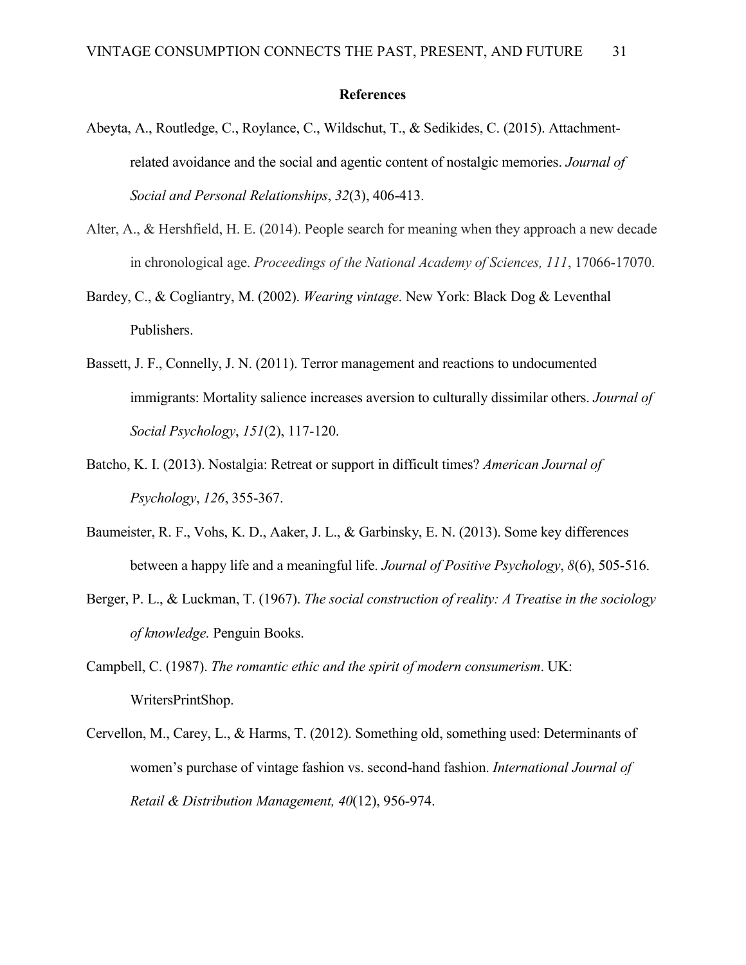#### **References**

- Abeyta, A., Routledge, C., Roylance, C., Wildschut, T., & Sedikides, C. (2015). Attachmentrelated avoidance and the social and agentic content of nostalgic memories. *Journal of Social and Personal Relationships*, *32*(3), 406-413.
- Alter, A., & Hershfield, H. E. (2014). People search for meaning when they approach a new decade in chronological age. *Proceedings of the National Academy of Sciences, 111*, 17066-17070.
- Bardey, C., & Cogliantry, M. (2002). *Wearing vintage*. New York: Black Dog & Leventhal Publishers.
- Bassett, J. F., Connelly, J. N. (2011). Terror management and reactions to undocumented immigrants: Mortality salience increases aversion to culturally dissimilar others. *Journal of Social Psychology*, *151*(2), 117-120.
- Batcho, K. I. (2013). Nostalgia: Retreat or support in difficult times? *American Journal of Psychology*, *126*, 355-367.
- Baumeister, R. F., Vohs, K. D., Aaker, J. L., & Garbinsky, E. N. (2013). Some key differences between a happy life and a meaningful life. *Journal of Positive Psychology*, *8*(6), 505-516.
- Berger, P. L., & Luckman, T. (1967). *The social construction of reality: A Treatise in the sociology of knowledge.* Penguin Books.
- Campbell, C. (1987). *The romantic ethic and the spirit of modern consumerism*. UK: WritersPrintShop.
- Cervellon, M., Carey, L., & Harms, T. (2012). Something old, something used: Determinants of women's purchase of vintage fashion vs. second-hand fashion. *International Journal of Retail & Distribution Management, 40*(12), 956-974.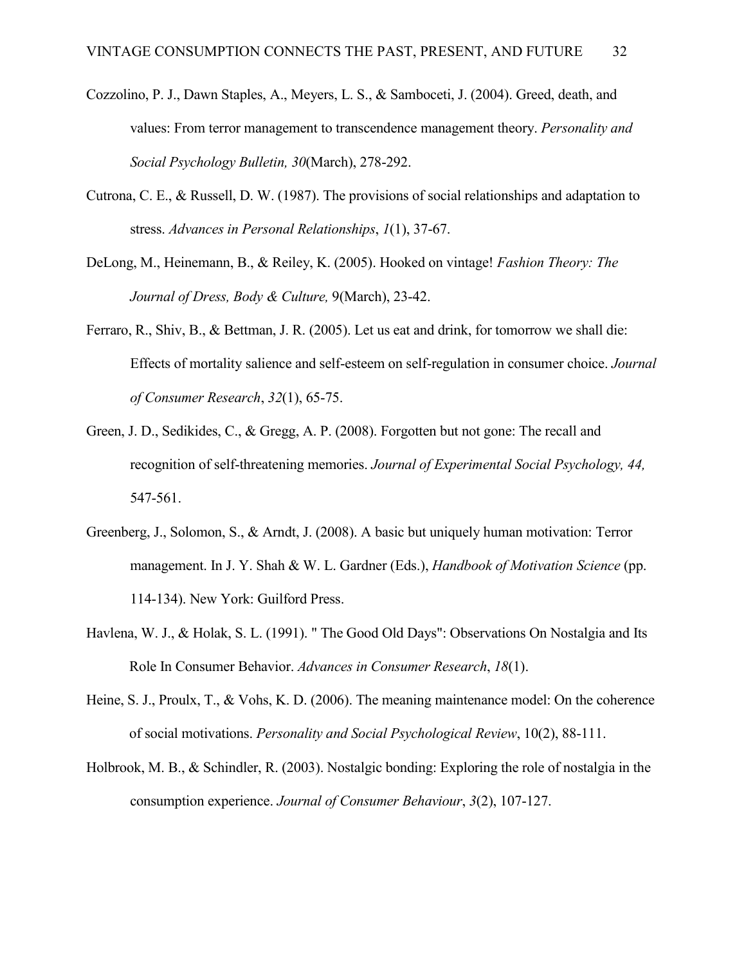- Cozzolino, P. J., Dawn Staples, A., Meyers, L. S., & Samboceti, J. (2004). Greed, death, and values: From terror management to transcendence management theory. *Personality and Social Psychology Bulletin, 30*(March), 278-292.
- Cutrona, C. E., & Russell, D. W. (1987). The provisions of social relationships and adaptation to stress. *Advances in Personal Relationships*, *1*(1), 37-67.
- DeLong, M., Heinemann, B., & Reiley, K. (2005). Hooked on vintage! *Fashion Theory: The Journal of Dress, Body & Culture,* 9(March), 23-42.
- Ferraro, R., Shiv, B., & Bettman, J. R. (2005). Let us eat and drink, for tomorrow we shall die: Effects of mortality salience and self-esteem on self-regulation in consumer choice. *Journal of Consumer Research*, *32*(1), 65-75.
- Green, J. D., Sedikides, C., & Gregg, A. P. (2008). Forgotten but not gone: The recall and recognition of self-threatening memories. *Journal of Experimental Social Psychology, 44,*  547-561.
- Greenberg, J., Solomon, S., & Arndt, J. (2008). A basic but uniquely human motivation: Terror management. In J. Y. Shah & W. L. Gardner (Eds.), *Handbook of Motivation Science* (pp. 114-134). New York: Guilford Press.
- Havlena, W. J., & Holak, S. L. (1991). " The Good Old Days": Observations On Nostalgia and Its Role In Consumer Behavior. *Advances in Consumer Research*, *18*(1).
- Heine, S. J., Proulx, T., & Vohs, K. D. (2006). The meaning maintenance model: On the coherence of social motivations. *Personality and Social Psychological Review*, 10(2), 88-111.
- Holbrook, M. B., & Schindler, R. (2003). Nostalgic bonding: Exploring the role of nostalgia in the consumption experience. *Journal of Consumer Behaviour*, *3*(2), 107-127.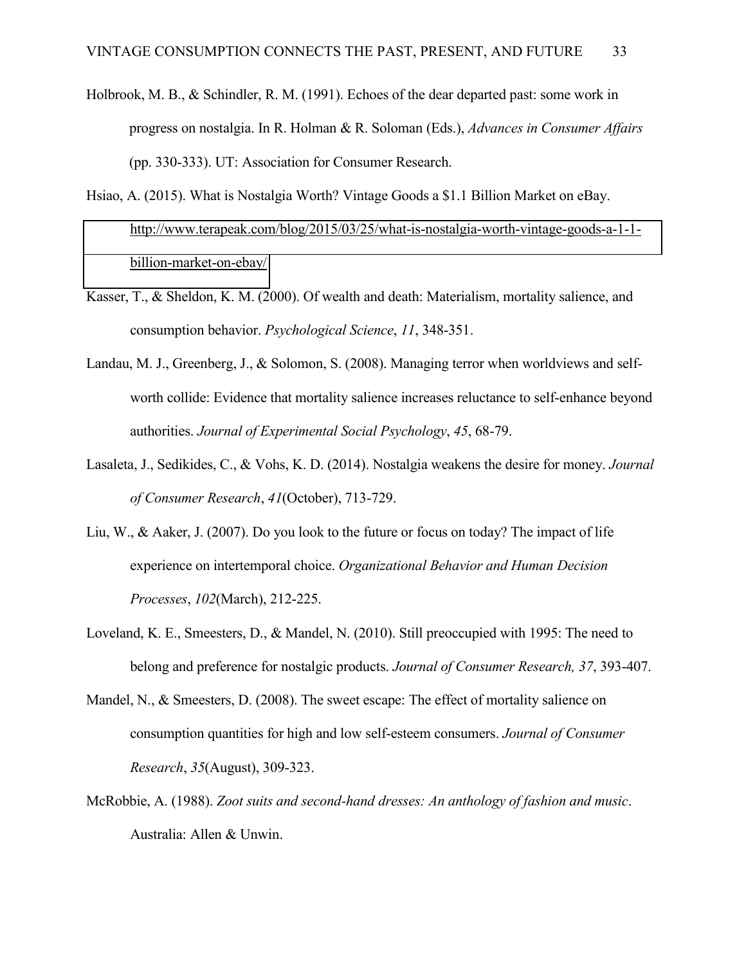- Holbrook, M. B., & Schindler, R. M. (1991). Echoes of the dear departed past: some work in progress on nostalgia. In R. Holman & R. Soloman (Eds.), *Advances in Consumer Affairs* (pp. 330-333). UT: Association for Consumer Research.
- Hsiao, A. (2015). What is Nostalgia Worth? Vintage Goods a \$1.1 Billion Market on eBay. [http://www.terapeak.com/blog/2015/03/25/what-is-nostalgia-worth-vintage-goods-a-1-1](http://www.terapeak.com/blog/2015/03/25/what-is-nostalgia-worth-vintage-goods-a-1-1-billion-market-on-ebay/) [billion-market-on-ebay/](http://www.terapeak.com/blog/2015/03/25/what-is-nostalgia-worth-vintage-goods-a-1-1-billion-market-on-ebay/)
- Kasser, T., & Sheldon, K. M. (2000). Of wealth and death: Materialism, mortality salience, and consumption behavior. *Psychological Science*, *11*, 348-351.
- Landau, M. J., Greenberg, J., & Solomon, S. (2008). Managing terror when worldviews and selfworth collide: Evidence that mortality salience increases reluctance to self-enhance beyond authorities. *Journal of Experimental Social Psychology*, *45*, 68-79.
- Lasaleta, J., Sedikides, C., & Vohs, K. D. (2014). Nostalgia weakens the desire for money. *Journal of Consumer Research*, *41*(October), 713-729.
- Liu, W., & Aaker, J. (2007). Do you look to the future or focus on today? The impact of life experience on intertemporal choice. *Organizational Behavior and Human Decision Processes*, *102*(March), 212-225.
- Loveland, K. E., Smeesters, D., & Mandel, N. (2010). Still preoccupied with 1995: The need to belong and preference for nostalgic products. *Journal of Consumer Research, 37*, 393-407.
- Mandel, N., & Smeesters, D. (2008). The sweet escape: The effect of mortality salience on consumption quantities for high and low self-esteem consumers. *Journal of Consumer Research*, *35*(August), 309-323.
- McRobbie, A. (1988). *Zoot suits and second-hand dresses: An anthology of fashion and music*. Australia: Allen & Unwin.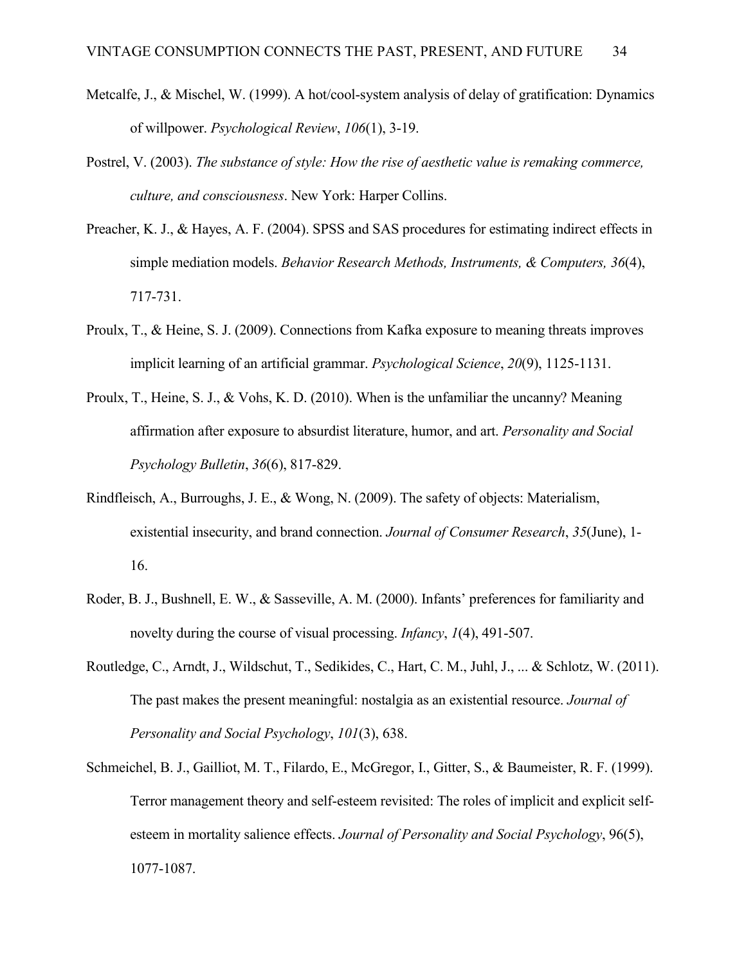- Metcalfe, J., & Mischel, W. (1999). A hot/cool-system analysis of delay of gratification: Dynamics of willpower. *Psychological Review*, *106*(1), 3-19.
- Postrel, V. (2003). *The substance of style: How the rise of aesthetic value is remaking commerce, culture, and consciousness*. New York: Harper Collins.
- Preacher, K. J., & Hayes, A. F. (2004). SPSS and SAS procedures for estimating indirect effects in simple mediation models. *Behavior Research Methods, Instruments, & Computers, 36*(4), 717-731.
- Proulx, T., & Heine, S. J. (2009). Connections from Kafka exposure to meaning threats improves implicit learning of an artificial grammar. *Psychological Science*, *20*(9), 1125-1131.
- Proulx, T., Heine, S. J., & Vohs, K. D. (2010). When is the unfamiliar the uncanny? Meaning affirmation after exposure to absurdist literature, humor, and art. *Personality and Social Psychology Bulletin*, *36*(6), 817-829.
- Rindfleisch, A., Burroughs, J. E., & Wong, N. (2009). The safety of objects: Materialism, existential insecurity, and brand connection. *Journal of Consumer Research*, *35*(June), 1- 16.
- Roder, B. J., Bushnell, E. W., & Sasseville, A. M. (2000). Infants' preferences for familiarity and novelty during the course of visual processing. *Infancy*, *1*(4), 491-507.
- Routledge, C., Arndt, J., Wildschut, T., Sedikides, C., Hart, C. M., Juhl, J., ... & Schlotz, W. (2011). The past makes the present meaningful: nostalgia as an existential resource. *Journal of Personality and Social Psychology*, *101*(3), 638.
- Schmeichel, B. J., Gailliot, M. T., Filardo, E., McGregor, I., Gitter, S., & Baumeister, R. F. (1999). Terror management theory and self-esteem revisited: The roles of implicit and explicit selfesteem in mortality salience effects. *Journal of Personality and Social Psychology*, 96(5), 1077-1087.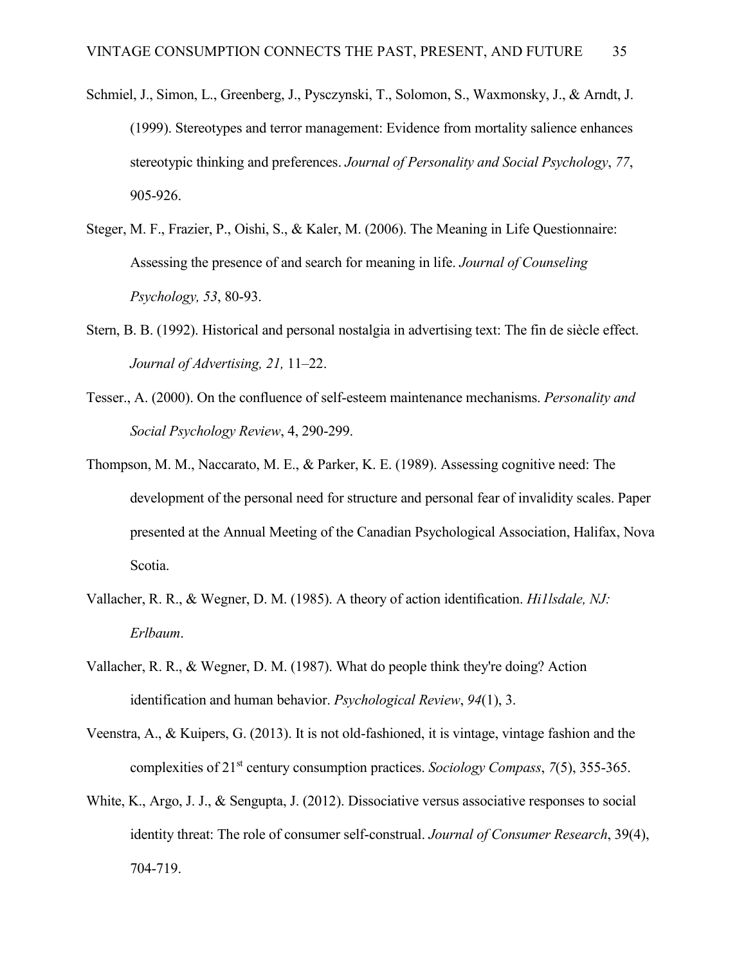- Schmiel, J., Simon, L., Greenberg, J., Pysczynski, T., Solomon, S., Waxmonsky, J., & Arndt, J. (1999). Stereotypes and terror management: Evidence from mortality salience enhances stereotypic thinking and preferences. *Journal of Personality and Social Psychology*, *77*, 905-926.
- Steger, M. F., Frazier, P., Oishi, S., & Kaler, M. (2006). The Meaning in Life Questionnaire: Assessing the presence of and search for meaning in life. *Journal of Counseling Psychology, 53*, 80-93.
- Stern, B. B. (1992). Historical and personal nostalgia in advertising text: The fin de siècle effect. *Journal of Advertising, 21,* 11–22.
- Tesser., A. (2000). On the confluence of self-esteem maintenance mechanisms. *Personality and Social Psychology Review*, 4, 290-299.
- Thompson, M. M., Naccarato, M. E., & Parker, K. E. (1989). Assessing cognitive need: The development of the personal need for structure and personal fear of invalidity scales. Paper presented at the Annual Meeting of the Canadian Psychological Association, Halifax, Nova Scotia.
- Vallacher, R. R., & Wegner, D. M. (1985). A theory of action identification. *Hi1lsdale, NJ: Erlbaum*.
- Vallacher, R. R., & Wegner, D. M. (1987). What do people think they're doing? Action identification and human behavior. *Psychological Review*, *94*(1), 3.
- Veenstra, A., & Kuipers, G. (2013). It is not old-fashioned, it is vintage, vintage fashion and the complexities of 21st century consumption practices. *Sociology Compass*, *7*(5), 355-365.
- White, K., Argo, J. J., & Sengupta, J. (2012). Dissociative versus associative responses to social identity threat: The role of consumer self-construal. *Journal of Consumer Research*, 39(4), 704-719.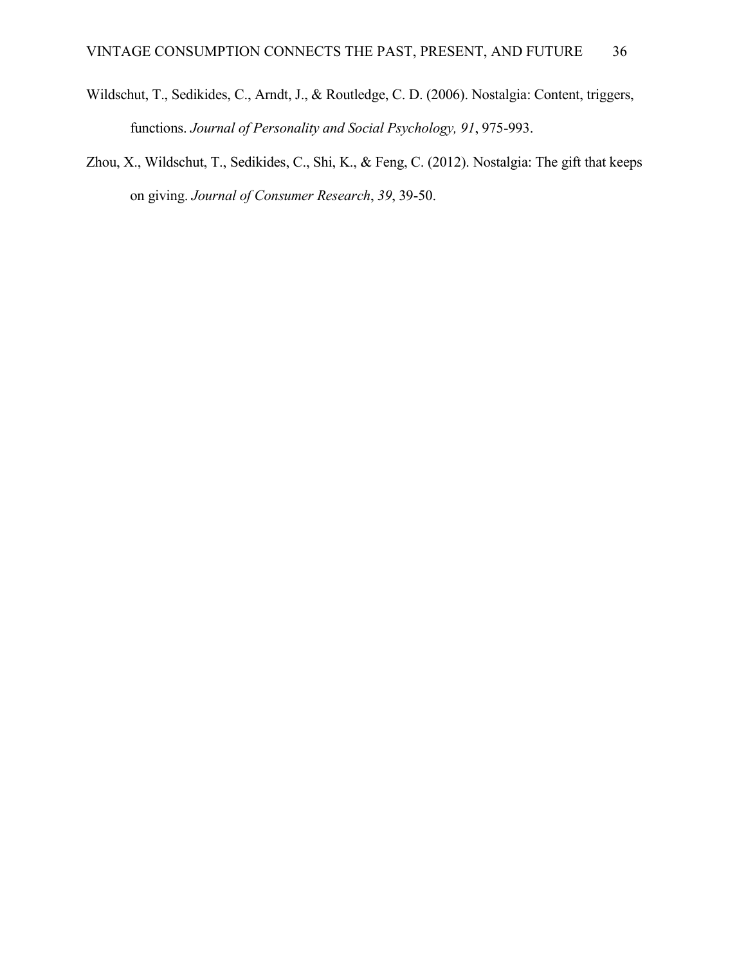- Wildschut, T., Sedikides, C., Arndt, J., & Routledge, C. D. (2006). Nostalgia: Content, triggers, functions. *Journal of Personality and Social Psychology, 91*, 975-993.
- Zhou, X., Wildschut, T., Sedikides, C., Shi, K., & Feng, C. (2012). Nostalgia: The gift that keeps on giving. *Journal of Consumer Research*, *39*, 39-50.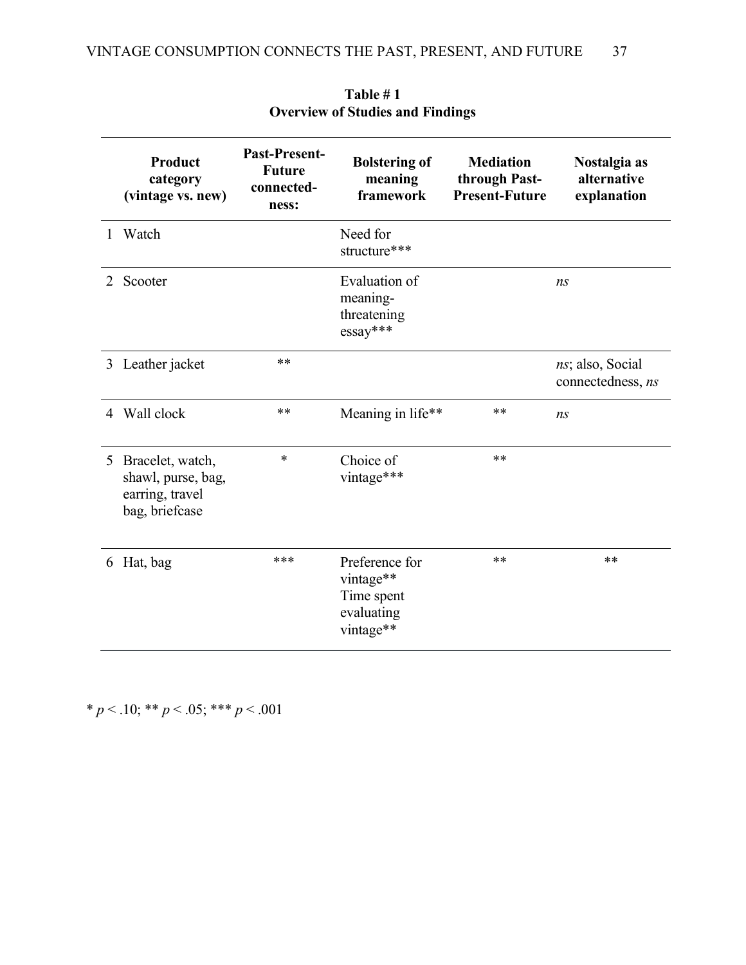|                | <b>Product</b><br>category<br>(vintage vs. new)                             | <b>Past-Present-</b><br><b>Future</b><br>connected-<br>ness: | <b>Bolstering of</b><br>meaning<br>framework                         | <b>Mediation</b><br>through Past-<br><b>Present-Future</b> | Nostalgia as<br>alternative<br>explanation |
|----------------|-----------------------------------------------------------------------------|--------------------------------------------------------------|----------------------------------------------------------------------|------------------------------------------------------------|--------------------------------------------|
| $\mathbf{1}$   | Watch                                                                       |                                                              | Need for<br>structure***                                             |                                                            |                                            |
| 2              | Scooter                                                                     |                                                              | Evaluation of<br>meaning-<br>threatening<br>$essay***$               |                                                            | ns                                         |
|                | 3 Leather jacket                                                            | **                                                           |                                                                      |                                                            | ns; also, Social<br>connectedness, ns      |
| $\overline{4}$ | Wall clock                                                                  | **                                                           | Meaning in life**                                                    | $***$                                                      | ns                                         |
| 5 <sup>5</sup> | Bracelet, watch,<br>shawl, purse, bag,<br>earring, travel<br>bag, briefcase | $\ast$                                                       | Choice of<br>vintage***                                              | $***$                                                      |                                            |
| 6              | Hat, bag                                                                    | ***                                                          | Preference for<br>vintage**<br>Time spent<br>evaluating<br>vintage** | $***$                                                      | $***$                                      |

**Table # 1 Overview of Studies and Findings** 

\* *p* < .10; \*\* *p* < .05; \*\*\* *p* < .001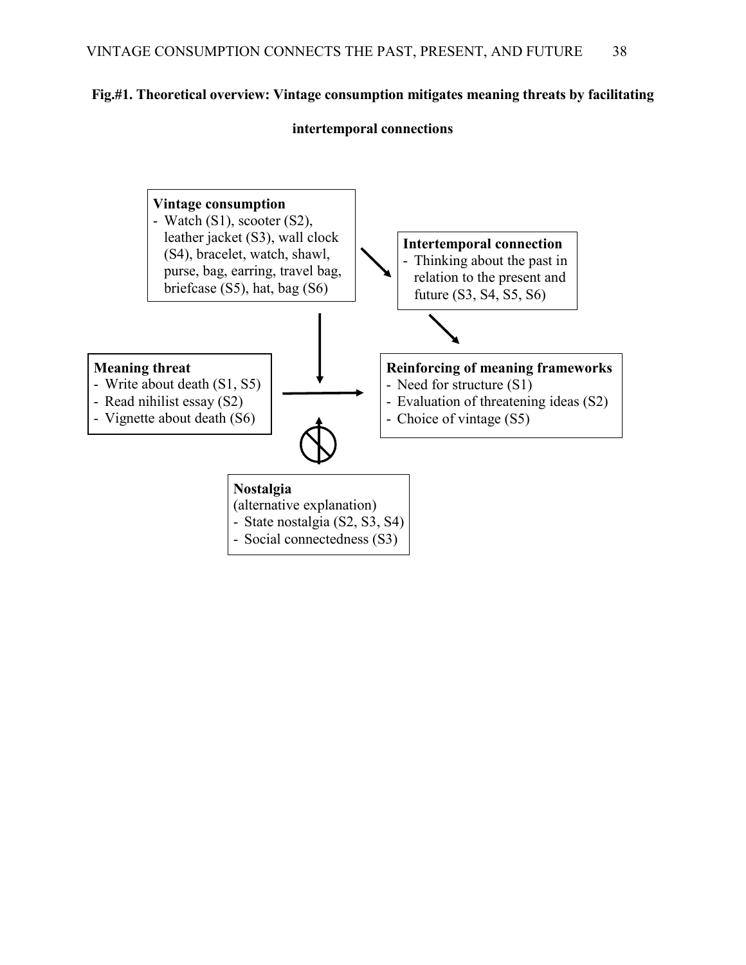# **Fig.#1. Theoretical overview: Vintage consumption mitigates meaning threats by facilitating**

## **intertemporal connections**

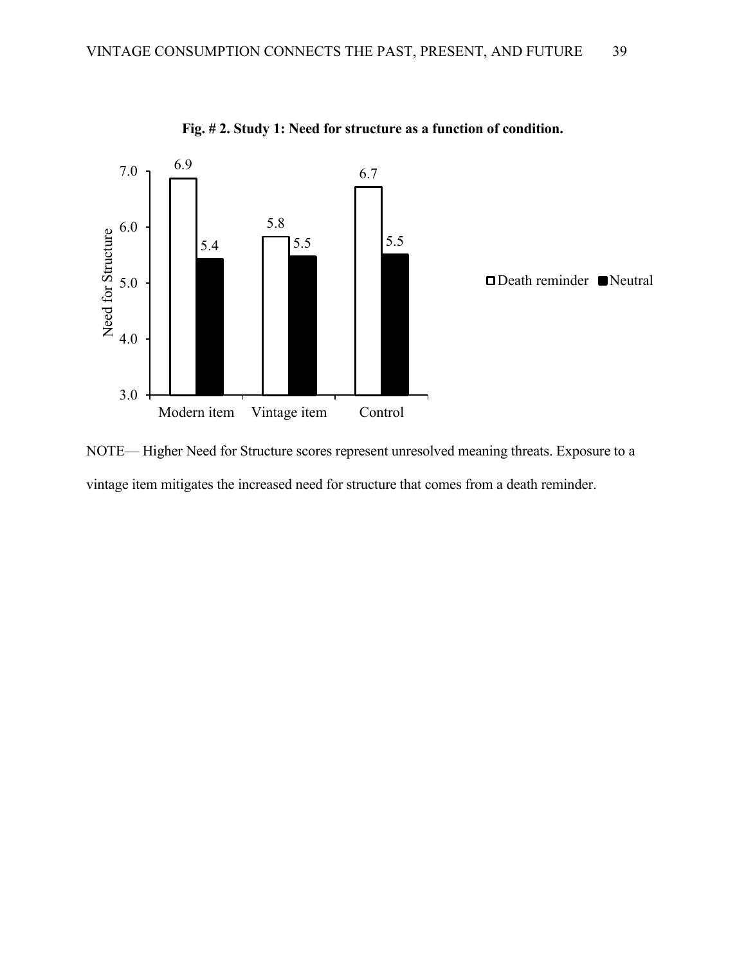

**Fig. # 2. Study 1: Need for structure as a function of condition.**

NOTE— Higher Need for Structure scores represent unresolved meaning threats. Exposure to a vintage item mitigates the increased need for structure that comes from a death reminder.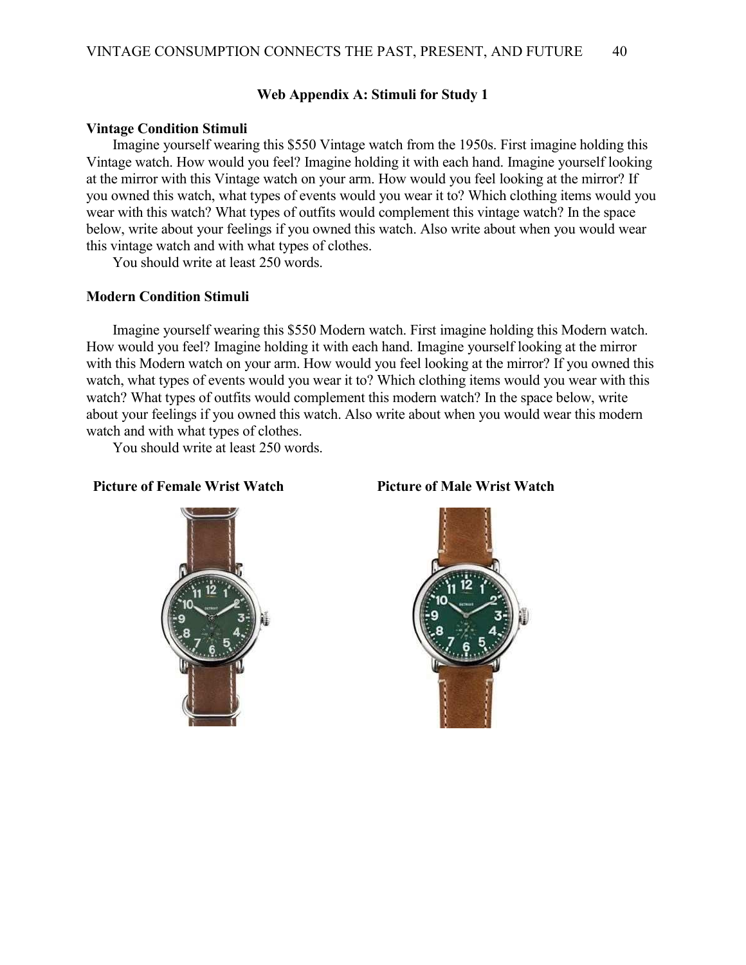### **Web Appendix A: Stimuli for Study 1**

#### **Vintage Condition Stimuli**

Imagine yourself wearing this \$550 Vintage watch from the 1950s. First imagine holding this Vintage watch. How would you feel? Imagine holding it with each hand. Imagine yourself looking at the mirror with this Vintage watch on your arm. How would you feel looking at the mirror? If you owned this watch, what types of events would you wear it to? Which clothing items would you wear with this watch? What types of outfits would complement this vintage watch? In the space below, write about your feelings if you owned this watch. Also write about when you would wear this vintage watch and with what types of clothes.

You should write at least 250 words.

#### **Modern Condition Stimuli**

Imagine yourself wearing this \$550 Modern watch. First imagine holding this Modern watch. How would you feel? Imagine holding it with each hand. Imagine yourself looking at the mirror with this Modern watch on your arm. How would you feel looking at the mirror? If you owned this watch, what types of events would you wear it to? Which clothing items would you wear with this watch? What types of outfits would complement this modern watch? In the space below, write about your feelings if you owned this watch. Also write about when you would wear this modern watch and with what types of clothes.

You should write at least 250 words.

#### **Picture of Female Wrist Watch Picture of Male Wrist Watch**



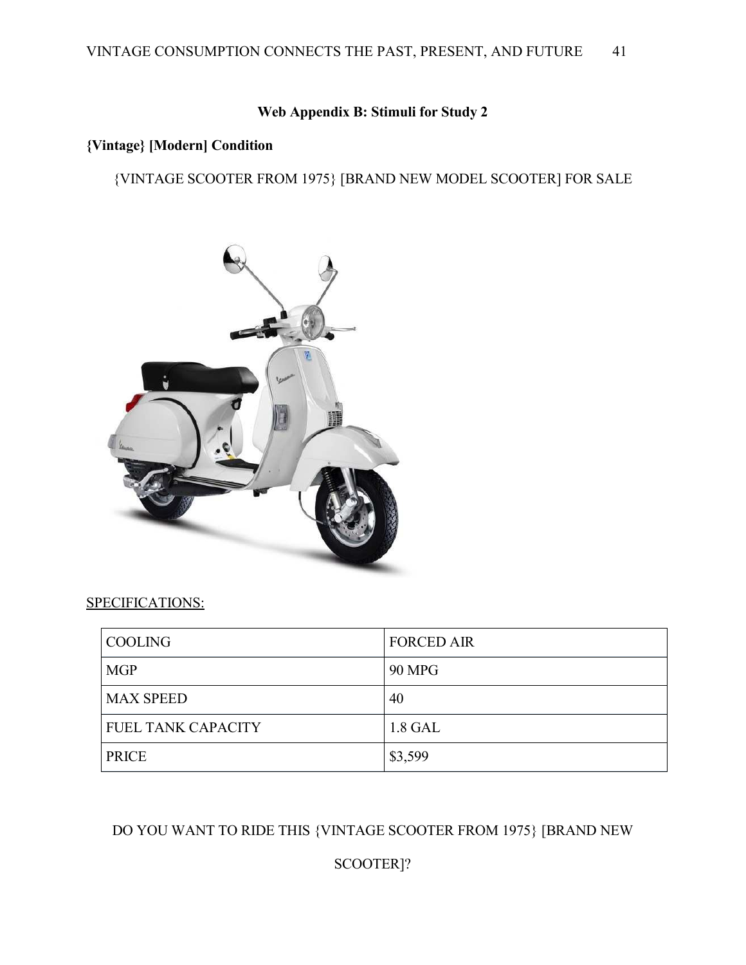## **Web Appendix B: Stimuli for Study 2**

# **{Vintage} [Modern] Condition**

{VINTAGE SCOOTER FROM 1975} [BRAND NEW MODEL SCOOTER] FOR SALE



#### SPECIFICATIONS:

| COOLING                   | <b>FORCED AIR</b> |
|---------------------------|-------------------|
| <b>MGP</b>                | <b>90 MPG</b>     |
| <b>MAX SPEED</b>          | 40                |
| <b>FUEL TANK CAPACITY</b> | 1.8 GAL           |
| <b>PRICE</b>              | \$3,599           |

# DO YOU WANT TO RIDE THIS {VINTAGE SCOOTER FROM 1975} [BRAND NEW

# SCOOTER]?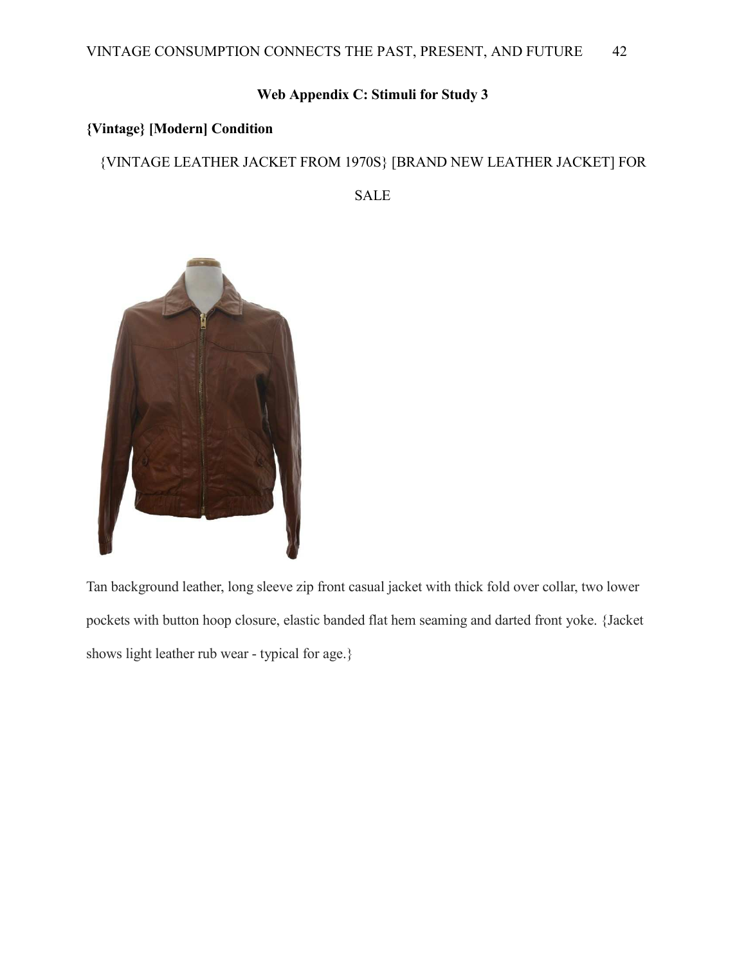# **Web Appendix C: Stimuli for Study 3**

# **{Vintage} [Modern] Condition**

# {VINTAGE LEATHER JACKET FROM 1970S} [BRAND NEW LEATHER JACKET] FOR

SALE



Tan background leather, long sleeve zip front casual jacket with thick fold over collar, two lower pockets with button hoop closure, elastic banded flat hem seaming and darted front yoke. {Jacket shows light leather rub wear - typical for age.}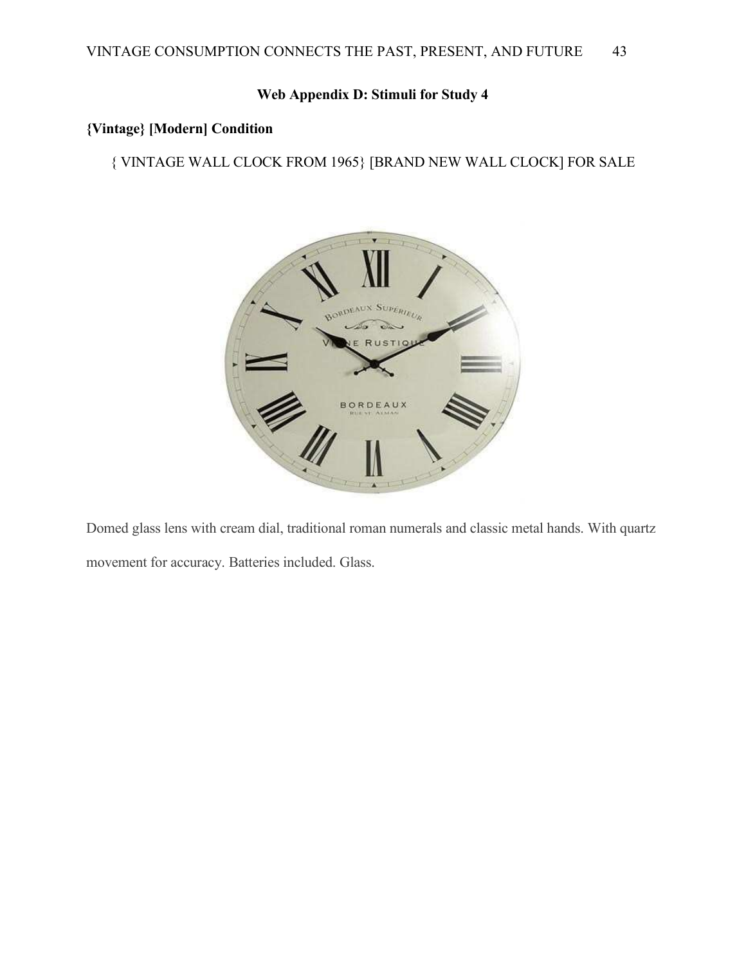# **Web Appendix D: Stimuli for Study 4**

# **{Vintage} [Modern] Condition**

{ VINTAGE WALL CLOCK FROM 1965} [BRAND NEW WALL CLOCK] FOR SALE



Domed glass lens with cream dial, traditional roman numerals and classic metal hands. With quartz movement for accuracy. Batteries included. Glass.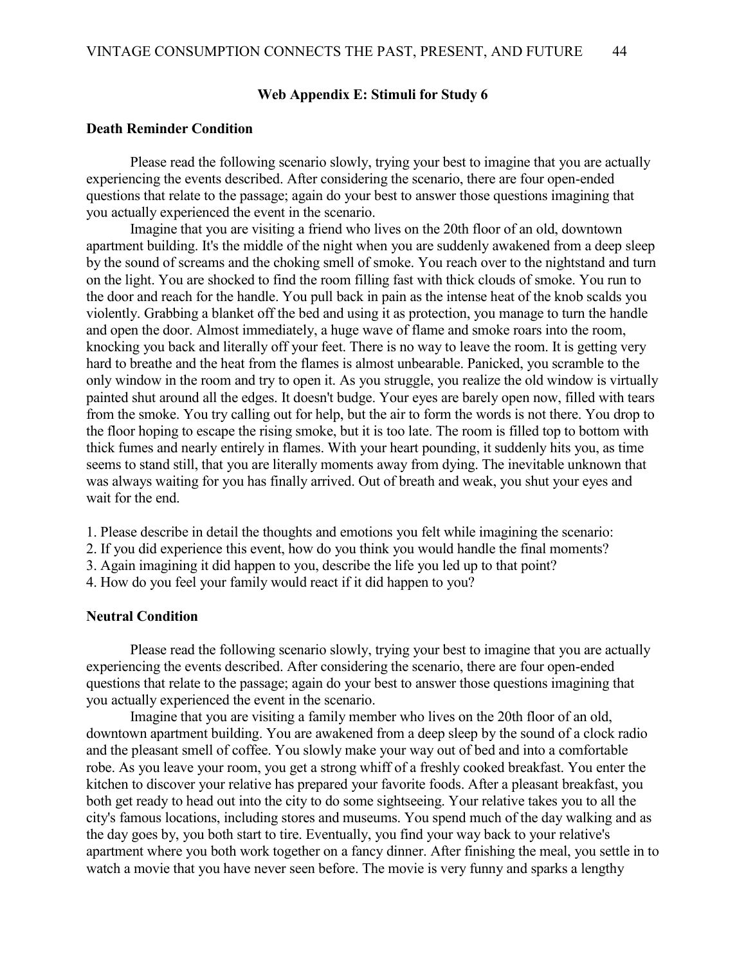### **Web Appendix E: Stimuli for Study 6**

#### **Death Reminder Condition**

Please read the following scenario slowly, trying your best to imagine that you are actually experiencing the events described. After considering the scenario, there are four open-ended questions that relate to the passage; again do your best to answer those questions imagining that you actually experienced the event in the scenario.

Imagine that you are visiting a friend who lives on the 20th floor of an old, downtown apartment building. It's the middle of the night when you are suddenly awakened from a deep sleep by the sound of screams and the choking smell of smoke. You reach over to the nightstand and turn on the light. You are shocked to find the room filling fast with thick clouds of smoke. You run to the door and reach for the handle. You pull back in pain as the intense heat of the knob scalds you violently. Grabbing a blanket off the bed and using it as protection, you manage to turn the handle and open the door. Almost immediately, a huge wave of flame and smoke roars into the room, knocking you back and literally off your feet. There is no way to leave the room. It is getting very hard to breathe and the heat from the flames is almost unbearable. Panicked, you scramble to the only window in the room and try to open it. As you struggle, you realize the old window is virtually painted shut around all the edges. It doesn't budge. Your eyes are barely open now, filled with tears from the smoke. You try calling out for help, but the air to form the words is not there. You drop to the floor hoping to escape the rising smoke, but it is too late. The room is filled top to bottom with thick fumes and nearly entirely in flames. With your heart pounding, it suddenly hits you, as time seems to stand still, that you are literally moments away from dying. The inevitable unknown that was always waiting for you has finally arrived. Out of breath and weak, you shut your eyes and wait for the end.

- 1. Please describe in detail the thoughts and emotions you felt while imagining the scenario:
- 2. If you did experience this event, how do you think you would handle the final moments?
- 3. Again imagining it did happen to you, describe the life you led up to that point?
- 4. How do you feel your family would react if it did happen to you?

### **Neutral Condition**

Please read the following scenario slowly, trying your best to imagine that you are actually experiencing the events described. After considering the scenario, there are four open-ended questions that relate to the passage; again do your best to answer those questions imagining that you actually experienced the event in the scenario.

Imagine that you are visiting a family member who lives on the 20th floor of an old, downtown apartment building. You are awakened from a deep sleep by the sound of a clock radio and the pleasant smell of coffee. You slowly make your way out of bed and into a comfortable robe. As you leave your room, you get a strong whiff of a freshly cooked breakfast. You enter the kitchen to discover your relative has prepared your favorite foods. After a pleasant breakfast, you both get ready to head out into the city to do some sightseeing. Your relative takes you to all the city's famous locations, including stores and museums. You spend much of the day walking and as the day goes by, you both start to tire. Eventually, you find your way back to your relative's apartment where you both work together on a fancy dinner. After finishing the meal, you settle in to watch a movie that you have never seen before. The movie is very funny and sparks a lengthy